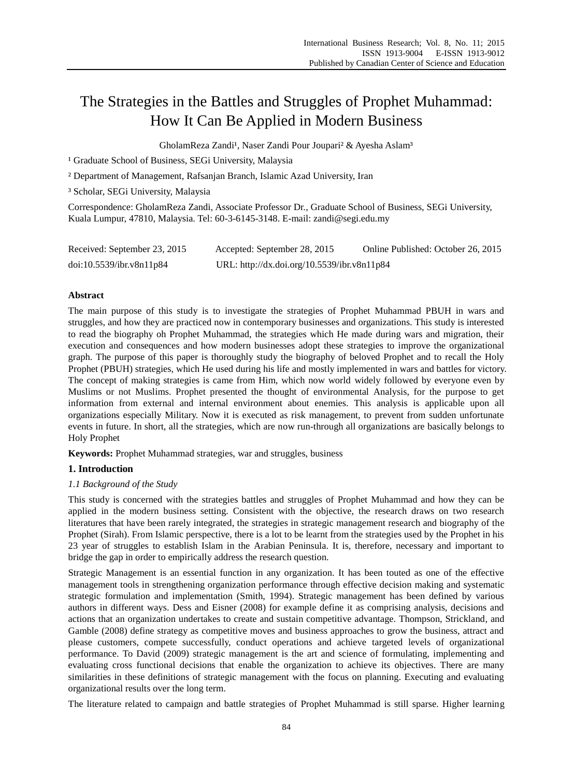# The Strategies in the Battles and Struggles of Prophet Muhammad: How It Can Be Applied in Modern Business

GholamReza Zandi<sup>1</sup>, Naser Zandi Pour Joupari<sup>2</sup> & Ayesha Aslam<sup>3</sup>

<sup>1</sup> Graduate School of Business, SEGi University, Malaysia

² Department of Management, Rafsanjan Branch, Islamic Azad University, Iran

³ Scholar, SEGi University, Malaysia

Correspondence: GholamReza Zandi, Associate Professor Dr., Graduate School of Business, SEGi University, Kuala Lumpur, 47810, Malaysia. Tel: 60-3-6145-3148. E-mail: [zandi@segi.edu.my](mailto:zandi@segi.edu.my)

| Received: September 23, 2015 | Accepted: September 28, 2015                | Online Published: October 26, 2015 |
|------------------------------|---------------------------------------------|------------------------------------|
| doi:10.5539/ibr.v8n11p84     | URL: http://dx.doi.org/10.5539/ibr.v8n11p84 |                                    |

# **Abstract**

The main purpose of this study is to investigate the strategies of Prophet Muhammad PBUH in wars and struggles, and how they are practiced now in contemporary businesses and organizations. This study is interested to read the biography oh Prophet Muhammad, the strategies which He made during wars and migration, their execution and consequences and how modern businesses adopt these strategies to improve the organizational graph. The purpose of this paper is thoroughly study the biography of beloved Prophet and to recall the Holy Prophet (PBUH) strategies, which He used during his life and mostly implemented in wars and battles for victory. The concept of making strategies is came from Him, which now world widely followed by everyone even by Muslims or not Muslims. Prophet presented the thought of environmental Analysis, for the purpose to get information from external and internal environment about enemies. This analysis is applicable upon all organizations especially Military. Now it is executed as risk management, to prevent from sudden unfortunate events in future. In short, all the strategies, which are now run-through all organizations are basically belongs to Holy Prophet

**Keywords:** Prophet Muhammad strategies, war and struggles, business

# **1. Introduction**

## *1.1 Background of the Study*

This study is concerned with the strategies battles and struggles of Prophet Muhammad and how they can be applied in the modern business setting. Consistent with the objective, the research draws on two research literatures that have been rarely integrated, the strategies in strategic management research and biography of the Prophet (Sirah). From Islamic perspective, there is a lot to be learnt from the strategies used by the Prophet in his 23 year of struggles to establish Islam in the Arabian Peninsula. It is, therefore, necessary and important to bridge the gap in order to empirically address the research question.

Strategic Management is an essential function in any organization. It has been touted as one of the effective management tools in strengthening organization performance through effective decision making and systematic strategic formulation and implementation (Smith, 1994). Strategic management has been defined by various authors in different ways. Dess and Eisner (2008) for example define it as comprising analysis, decisions and actions that an organization undertakes to create and sustain competitive advantage. Thompson, Strickland, and Gamble (2008) define strategy as competitive moves and business approaches to grow the business, attract and please customers, compete successfully, conduct operations and achieve targeted levels of organizational performance. To David (2009) strategic management is the art and science of formulating, implementing and evaluating cross functional decisions that enable the organization to achieve its objectives. There are many similarities in these definitions of strategic management with the focus on planning. Executing and evaluating organizational results over the long term.

The literature related to campaign and battle strategies of Prophet Muhammad is still sparse. Higher learning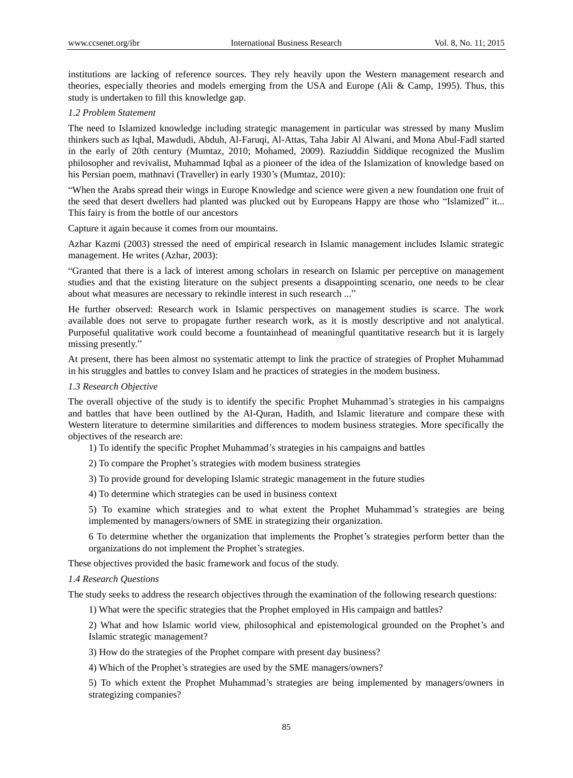institutions are lacking of reference sources. They rely heavily upon the Western management research and theories, especially theories and models emerging from the USA and Europe (Ali & Camp, 1995). Thus, this study is undertaken to fill this knowledge gap.

## *1.2 Problem Statement*

The need to Islamized knowledge including strategic management in particular was stressed by many Muslim thinkers such as Iqbal, Mawdudi, Abduh, Al-Faruqi, Al-Attas, Taha Jabir Al Alwani, and Mona Abul-Fadl started in the early of 20th century (Mumtaz, 2010; Mohamed, 2009). Raziuddin Siddique recognized the Muslim philosopher and revivalist, Muhammad Iqbal as a pioneer of the idea of the Islamization of knowledge based on his Persian poem, mathnavi (Traveller) in early 1930"s (Mumtaz, 2010):

"When the Arabs spread their wings in Europe Knowledge and science were given a new foundation one fruit of the seed that desert dwellers had planted was plucked out by Europeans Happy are those who "Islamized" it... This fairy is from the bottle of our ancestors

Capture it again because it comes from our mountains.

Azhar Kazmi (2003) stressed the need of empirical research in Islamic management includes Islamic strategic management. He writes (Azhar, 2003):

"Granted that there is a lack of interest among scholars in research on Islamic per perceptive on management studies and that the existing literature on the subject presents a disappointing scenario, one needs to be clear about what measures are necessary to rekindle interest in such research ..."

He further observed: Research work in Islamic perspectives on management studies is scarce. The work available does not serve to propagate further research work, as it is mostly descriptive and not analytical. Purposeful qualitative work could become a fountainhead of meaningful quantitative research but it is largely missing presently."

At present, there has been almost no systematic attempt to link the practice of strategies of Prophet Muhammad in his struggles and battles to convey Islam and he practices of strategies in the modem business.

#### *1.3 Research Objective*

The overall objective of the study is to identify the specific Prophet Muhammad"s strategies in his campaigns and battles that have been outlined by the Al-Quran, Hadith, and Islamic literature and compare these with Western literature to determine similarities and differences to modem business strategies. More specifically the objectives of the research are:

1) To identify the specific Prophet Muhammad"s strategies in his campaigns and battles

2) To compare the Prophet"s strategies with modem business strategies

3) To provide ground for developing Islamic strategic management in the future studies

4) To determine which strategies can be used in business context

5) To examine which strategies and to what extent the Prophet Muhammad"s strategies are being implemented by managers/owners of SME in strategizing their organization.

6 To determine whether the organization that implements the Prophet"s strategies perform better than the organizations do not implement the Prophet's strategies.

These objectives provided the basic framework and focus of the study.

## *1.4 Research Questions*

The study seeks to address the research objectives through the examination of the following research questions:

1) What were the specific strategies that the Prophet employed in His campaign and battles?

2) What and how Islamic world view, philosophical and epistemological grounded on the Prophet"s and Islamic strategic management?

3) How do the strategies of the Prophet compare with present day business?

4) Which of the Prophet"s strategies are used by the SME managers/owners?

5) To which extent the Prophet Muhammad"s strategies are being implemented by managers/owners in strategizing companies?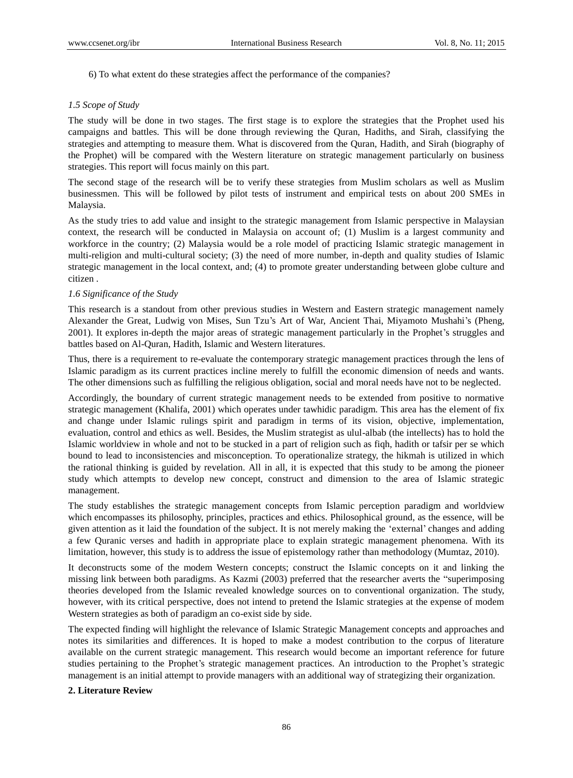6) To what extent do these strategies affect the performance of the companies?

#### *1.5 Scope of Study*

The study will be done in two stages. The first stage is to explore the strategies that the Prophet used his campaigns and battles. This will be done through reviewing the Quran, Hadiths, and Sirah, classifying the strategies and attempting to measure them. What is discovered from the Quran, Hadith, and Sirah (biography of the Prophet) will be compared with the Western literature on strategic management particularly on business strategies. This report will focus mainly on this part.

The second stage of the research will be to verify these strategies from Muslim scholars as well as Muslim businessmen. This will be followed by pilot tests of instrument and empirical tests on about 200 SMEs in Malaysia.

As the study tries to add value and insight to the strategic management from Islamic perspective in Malaysian context, the research will be conducted in Malaysia on account of; (1) Muslim is a largest community and workforce in the country; (2) Malaysia would be a role model of practicing Islamic strategic management in multi-religion and multi-cultural society; (3) the need of more number, in-depth and quality studies of Islamic strategic management in the local context, and; (4) to promote greater understanding between globe culture and citizen .

#### *1.6 Significance of the Study*

This research is a standout from other previous studies in Western and Eastern strategic management namely Alexander the Great, Ludwig von Mises, Sun Tzu"s Art of War, Ancient Thai, Miyamoto Mushahi"s (Pheng, 2001). It explores in-depth the major areas of strategic management particularly in the Prophet"s struggles and battles based on Al-Quran, Hadith, Islamic and Western literatures.

Thus, there is a requirement to re-evaluate the contemporary strategic management practices through the lens of Islamic paradigm as its current practices incline merely to fulfill the economic dimension of needs and wants. The other dimensions such as fulfilling the religious obligation, social and moral needs have not to be neglected.

Accordingly, the boundary of current strategic management needs to be extended from positive to normative strategic management (Khalifa, 2001) which operates under tawhidic paradigm. This area has the element of fix and change under Islamic rulings spirit and paradigm in terms of its vision, objective, implementation, evaluation, control and ethics as well. Besides, the Muslim strategist as ulul-albab (the intellects) has to hold the Islamic worldview in whole and not to be stucked in a part of religion such as fiqh, hadith or tafsir per se which bound to lead to inconsistencies and misconception. To operationalize strategy, the hikmah is utilized in which the rational thinking is guided by revelation. All in all, it is expected that this study to be among the pioneer study which attempts to develop new concept, construct and dimension to the area of Islamic strategic management.

The study establishes the strategic management concepts from Islamic perception paradigm and worldview which encompasses its philosophy, principles, practices and ethics. Philosophical ground, as the essence, will be given attention as it laid the foundation of the subject. It is not merely making the "external" changes and adding a few Quranic verses and hadith in appropriate place to explain strategic management phenomena. With its limitation, however, this study is to address the issue of epistemology rather than methodology (Mumtaz, 2010).

It deconstructs some of the modem Western concepts; construct the Islamic concepts on it and linking the missing link between both paradigms. As Kazmi (2003) preferred that the researcher averts the "superimposing theories developed from the Islamic revealed knowledge sources on to conventional organization. The study, however, with its critical perspective, does not intend to pretend the Islamic strategies at the expense of modem Western strategies as both of paradigm an co-exist side by side.

The expected finding will highlight the relevance of Islamic Strategic Management concepts and approaches and notes its similarities and differences. It is hoped to make a modest contribution to the corpus of literature available on the current strategic management. This research would become an important reference for future studies pertaining to the Prophet's strategic management practices. An introduction to the Prophet's strategic management is an initial attempt to provide managers with an additional way of strategizing their organization.

#### **2. Literature Review**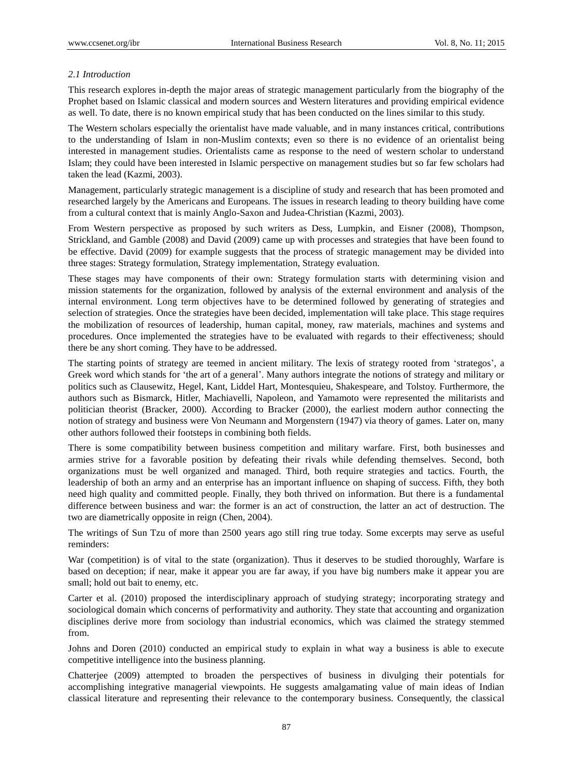# *2.1 Introduction*

This research explores in-depth the major areas of strategic management particularly from the biography of the Prophet based on Islamic classical and modern sources and Western literatures and providing empirical evidence as well. To date, there is no known empirical study that has been conducted on the lines similar to this study.

The Western scholars especially the orientalist have made valuable, and in many instances critical, contributions to the understanding of Islam in non-Muslim contexts; even so there is no evidence of an orientalist being interested in management studies. Orientalists came as response to the need of western scholar to understand Islam; they could have been interested in Islamic perspective on management studies but so far few scholars had taken the lead (Kazmi, 2003).

Management, particularly strategic management is a discipline of study and research that has been promoted and researched largely by the Americans and Europeans. The issues in research leading to theory building have come from a cultural context that is mainly Anglo-Saxon and Judea-Christian (Kazmi, 2003).

From Western perspective as proposed by such writers as Dess, Lumpkin, and Eisner (2008), Thompson, Strickland, and Gamble (2008) and David (2009) came up with processes and strategies that have been found to be effective. David (2009) for example suggests that the process of strategic management may be divided into three stages: Strategy formulation, Strategy implementation, Strategy evaluation.

These stages may have components of their own: Strategy formulation starts with determining vision and mission statements for the organization, followed by analysis of the external environment and analysis of the internal environment. Long term objectives have to be determined followed by generating of strategies and selection of strategies. Once the strategies have been decided, implementation will take place. This stage requires the mobilization of resources of leadership, human capital, money, raw materials, machines and systems and procedures. Once implemented the strategies have to be evaluated with regards to their effectiveness; should there be any short coming. They have to be addressed.

The starting points of strategy are teemed in ancient military. The lexis of strategy rooted from "strategos", a Greek word which stands for "the art of a general". Many authors integrate the notions of strategy and military or politics such as Clausewitz, Hegel, Kant, Liddel Hart, Montesquieu, Shakespeare, and Tolstoy. Furthermore, the authors such as Bismarck, Hitler, Machiavelli, Napoleon, and Yamamoto were represented the militarists and politician theorist (Bracker, 2000). According to Bracker (2000), the earliest modern author connecting the notion of strategy and business were Von Neumann and Morgenstern (1947) via theory of games. Later on, many other authors followed their footsteps in combining both fields.

There is some compatibility between business competition and military warfare. First, both businesses and armies strive for a favorable position by defeating their rivals while defending themselves. Second, both organizations must be well organized and managed. Third, both require strategies and tactics. Fourth, the leadership of both an army and an enterprise has an important influence on shaping of success. Fifth, they both need high quality and committed people. Finally, they both thrived on information. But there is a fundamental difference between business and war: the former is an act of construction, the latter an act of destruction. The two are diametrically opposite in reign (Chen, 2004).

The writings of Sun Tzu of more than 2500 years ago still ring true today. Some excerpts may serve as useful reminders:

War (competition) is of vital to the state (organization). Thus it deserves to be studied thoroughly, Warfare is based on deception; if near, make it appear you are far away, if you have big numbers make it appear you are small; hold out bait to enemy, etc.

Carter et al. (2010) proposed the interdisciplinary approach of studying strategy; incorporating strategy and sociological domain which concerns of performativity and authority. They state that accounting and organization disciplines derive more from sociology than industrial economics, which was claimed the strategy stemmed from.

Johns and Doren (2010) conducted an empirical study to explain in what way a business is able to execute competitive intelligence into the business planning.

Chatterjee (2009) attempted to broaden the perspectives of business in divulging their potentials for accomplishing integrative managerial viewpoints. He suggests amalgamating value of main ideas of Indian classical literature and representing their relevance to the contemporary business. Consequently, the classical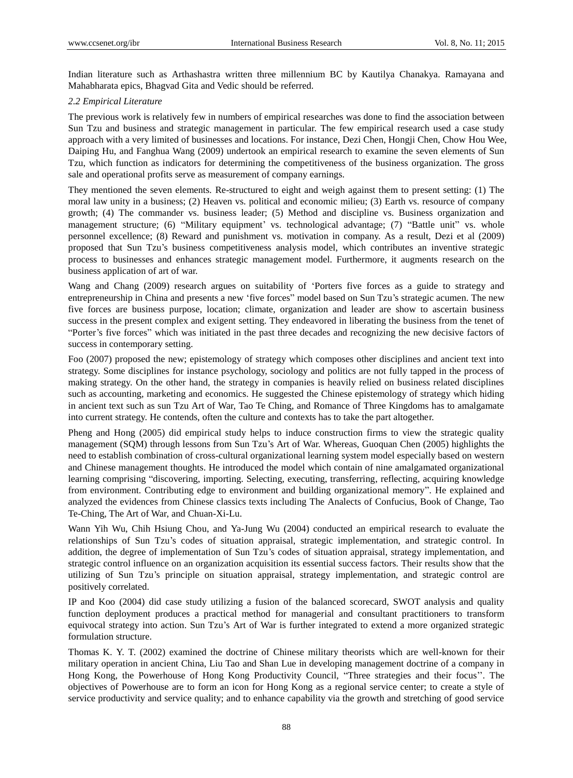Indian literature such as Arthashastra written three millennium BC by Kautilya Chanakya. Ramayana and Mahabharata epics, Bhagvad Gita and Vedic should be referred.

#### *2.2 Empirical Literature*

The previous work is relatively few in numbers of empirical researches was done to find the association between Sun Tzu and business and strategic management in particular. The few empirical research used a case study approach with a very limited of businesses and locations. For instance, Dezi Chen, Hongji Chen, Chow Hou Wee, Daiping Hu, and Fanghua Wang (2009) undertook an empirical research to examine the seven elements of Sun Tzu, which function as indicators for determining the competitiveness of the business organization. The gross sale and operational profits serve as measurement of company earnings.

They mentioned the seven elements. Re-structured to eight and weigh against them to present setting: (1) The moral law unity in a business; (2) Heaven vs. political and economic milieu; (3) Earth vs. resource of company growth; (4) The commander vs. business leader; (5) Method and discipline vs. Business organization and management structure; (6) "Military equipment' vs. technological advantage; (7) "Battle unit" vs. whole personnel excellence; (8) Reward and punishment vs. motivation in company. As a result, Dezi et al (2009) proposed that Sun Tzu"s business competitiveness analysis model, which contributes an inventive strategic process to businesses and enhances strategic management model. Furthermore, it augments research on the business application of art of war.

Wang and Chang (2009) research argues on suitability of "Porters five forces as a guide to strategy and entrepreneurship in China and presents a new "five forces" model based on Sun Tzu"s strategic acumen. The new five forces are business purpose, location; climate, organization and leader are show to ascertain business success in the present complex and exigent setting. They endeavored in liberating the business from the tenet of "Porter"s five forces" which was initiated in the past three decades and recognizing the new decisive factors of success in contemporary setting.

Foo (2007) proposed the new; epistemology of strategy which composes other disciplines and ancient text into strategy. Some disciplines for instance psychology, sociology and politics are not fully tapped in the process of making strategy. On the other hand, the strategy in companies is heavily relied on business related disciplines such as accounting, marketing and economics. He suggested the Chinese epistemology of strategy which hiding in ancient text such as sun Tzu Art of War, Tao Te Ching, and Romance of Three Kingdoms has to amalgamate into current strategy. He contends, often the culture and contexts has to take the part altogether.

Pheng and Hong (2005) did empirical study helps to induce construction firms to view the strategic quality management (SQM) through lessons from Sun Tzu"s Art of War. Whereas, Guoquan Chen (2005) highlights the need to establish combination of cross-cultural organizational learning system model especially based on western and Chinese management thoughts. He introduced the model which contain of nine amalgamated organizational learning comprising "discovering, importing. Selecting, executing, transferring, reflecting, acquiring knowledge from environment. Contributing edge to environment and building organizational memory". He explained and analyzed the evidences from Chinese classics texts including The Analects of Confucius, Book of Change, Tao Te-Ching, The Art of War, and Chuan-Xi-Lu.

Wann Yih Wu, Chih Hsiung Chou, and Ya-Jung Wu (2004) conducted an empirical research to evaluate the relationships of Sun Tzu"s codes of situation appraisal, strategic implementation, and strategic control. In addition, the degree of implementation of Sun Tzu"s codes of situation appraisal, strategy implementation, and strategic control influence on an organization acquisition its essential success factors. Their results show that the utilizing of Sun Tzu"s principle on situation appraisal, strategy implementation, and strategic control are positively correlated.

IP and Koo (2004) did case study utilizing a fusion of the balanced scorecard, SWOT analysis and quality function deployment produces a practical method for managerial and consultant practitioners to transform equivocal strategy into action. Sun Tzu"s Art of War is further integrated to extend a more organized strategic formulation structure.

Thomas K. Y. T. (2002) examined the doctrine of Chinese military theorists which are well-known for their military operation in ancient China, Liu Tao and Shan Lue in developing management doctrine of a company in Hong Kong, the Powerhouse of Hong Kong Productivity Council, "Three strategies and their focus". The objectives of Powerhouse are to form an icon for Hong Kong as a regional service center; to create a style of service productivity and service quality; and to enhance capability via the growth and stretching of good service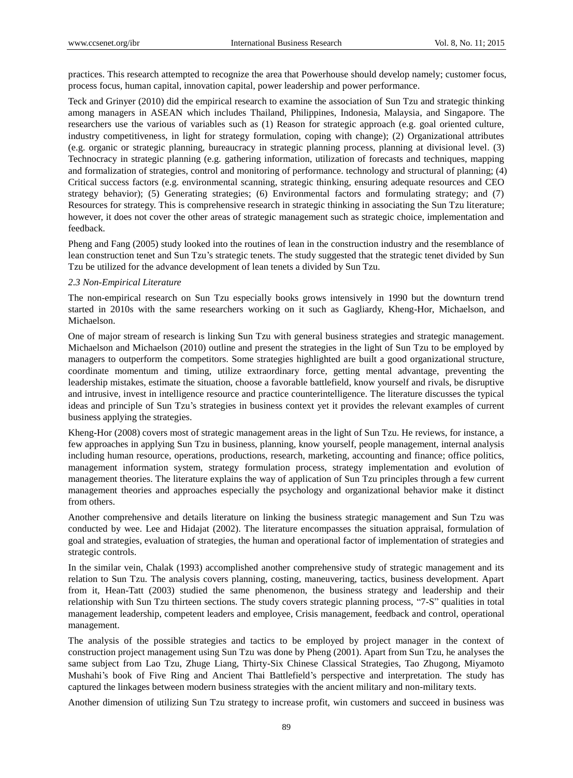practices. This research attempted to recognize the area that Powerhouse should develop namely; customer focus, process focus, human capital, innovation capital, power leadership and power performance.

Teck and Grinyer (2010) did the empirical research to examine the association of Sun Tzu and strategic thinking among managers in ASEAN which includes Thailand, Philippines, Indonesia, Malaysia, and Singapore. The researchers use the various of variables such as (1) Reason for strategic approach (e.g. goal oriented culture, industry competitiveness, in light for strategy formulation, coping with change); (2) Organizational attributes (e.g. organic or strategic planning, bureaucracy in strategic planning process, planning at divisional level. (3) Technocracy in strategic planning (e.g. gathering information, utilization of forecasts and techniques, mapping and formalization of strategies, control and monitoring of performance. technology and structural of planning; (4) Critical success factors (e.g. environmental scanning, strategic thinking, ensuring adequate resources and CEO strategy behavior); (5) Generating strategies; (6) Environmental factors and formulating strategy; and (7) Resources for strategy. This is comprehensive research in strategic thinking in associating the Sun Tzu literature; however, it does not cover the other areas of strategic management such as strategic choice, implementation and feedback.

Pheng and Fang (2005) study looked into the routines of lean in the construction industry and the resemblance of lean construction tenet and Sun Tzu"s strategic tenets. The study suggested that the strategic tenet divided by Sun Tzu be utilized for the advance development of lean tenets a divided by Sun Tzu.

#### *2.3 Non-Empirical Literature*

The non-empirical research on Sun Tzu especially books grows intensively in 1990 but the downturn trend started in 2010s with the same researchers working on it such as Gagliardy, Kheng-Hor, Michaelson, and Michaelson.

One of major stream of research is linking Sun Tzu with general business strategies and strategic management. Michaelson and Michaelson (2010) outline and present the strategies in the light of Sun Tzu to be employed by managers to outperform the competitors. Some strategies highlighted are built a good organizational structure, coordinate momentum and timing, utilize extraordinary force, getting mental advantage, preventing the leadership mistakes, estimate the situation, choose a favorable battlefield, know yourself and rivals, be disruptive and intrusive, invest in intelligence resource and practice counterintelligence. The literature discusses the typical ideas and principle of Sun Tzu"s strategies in business context yet it provides the relevant examples of current business applying the strategies.

Kheng-Hor (2008) covers most of strategic management areas in the light of Sun Tzu. He reviews, for instance, a few approaches in applying Sun Tzu in business, planning, know yourself, people management, internal analysis including human resource, operations, productions, research, marketing, accounting and finance; office politics, management information system, strategy formulation process, strategy implementation and evolution of management theories. The literature explains the way of application of Sun Tzu principles through a few current management theories and approaches especially the psychology and organizational behavior make it distinct from others.

Another comprehensive and details literature on linking the business strategic management and Sun Tzu was conducted by wee. Lee and Hidajat (2002). The literature encompasses the situation appraisal, formulation of goal and strategies, evaluation of strategies, the human and operational factor of implementation of strategies and strategic controls.

In the similar vein, Chalak (1993) accomplished another comprehensive study of strategic management and its relation to Sun Tzu. The analysis covers planning, costing, maneuvering, tactics, business development. Apart from it, Hean-Tatt (2003) studied the same phenomenon, the business strategy and leadership and their relationship with Sun Tzu thirteen sections. The study covers strategic planning process, "7-S" qualities in total management leadership, competent leaders and employee, Crisis management, feedback and control, operational management.

The analysis of the possible strategies and tactics to be employed by project manager in the context of construction project management using Sun Tzu was done by Pheng (2001). Apart from Sun Tzu, he analyses the same subject from Lao Tzu, Zhuge Liang, Thirty-Six Chinese Classical Strategies, Tao Zhugong, Miyamoto Mushahi"s book of Five Ring and Ancient Thai Battlefield"s perspective and interpretation. The study has captured the linkages between modern business strategies with the ancient military and non-military texts.

Another dimension of utilizing Sun Tzu strategy to increase profit, win customers and succeed in business was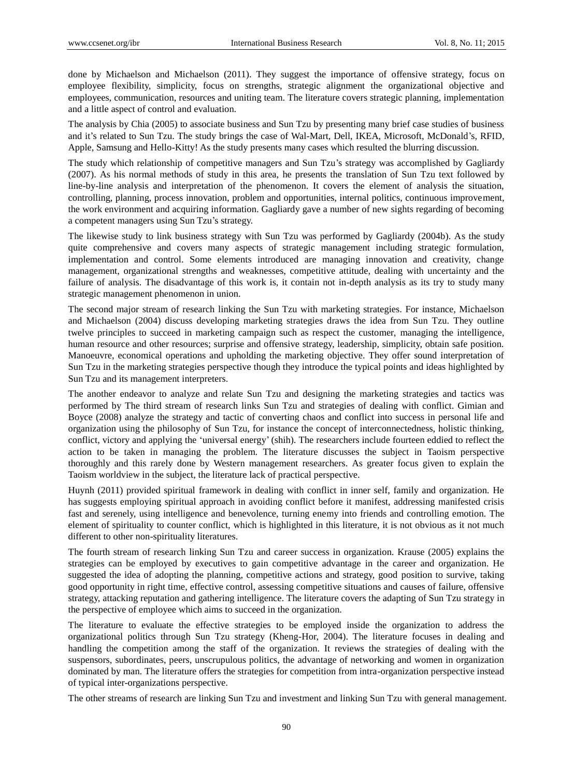done by Michaelson and Michaelson (2011). They suggest the importance of offensive strategy, focus on employee flexibility, simplicity, focus on strengths, strategic alignment the organizational objective and employees, communication, resources and uniting team. The literature covers strategic planning, implementation and a little aspect of control and evaluation.

The analysis by Chia (2005) to associate business and Sun Tzu by presenting many brief case studies of business and it's related to Sun Tzu. The study brings the case of Wal-Mart, Dell, IKEA, Microsoft, McDonald's, RFID, Apple, Samsung and Hello-Kitty! As the study presents many cases which resulted the blurring discussion.

The study which relationship of competitive managers and Sun Tzu"s strategy was accomplished by Gagliardy (2007). As his normal methods of study in this area, he presents the translation of Sun Tzu text followed by line-by-line analysis and interpretation of the phenomenon. It covers the element of analysis the situation, controlling, planning, process innovation, problem and opportunities, internal politics, continuous improvement, the work environment and acquiring information. Gagliardy gave a number of new sights regarding of becoming a competent managers using Sun Tzu"s strategy.

The likewise study to link business strategy with Sun Tzu was performed by Gagliardy (2004b). As the study quite comprehensive and covers many aspects of strategic management including strategic formulation, implementation and control. Some elements introduced are managing innovation and creativity, change management, organizational strengths and weaknesses, competitive attitude, dealing with uncertainty and the failure of analysis. The disadvantage of this work is, it contain not in-depth analysis as its try to study many strategic management phenomenon in union.

The second major stream of research linking the Sun Tzu with marketing strategies. For instance, Michaelson and Michaelson (2004) discuss developing marketing strategies draws the idea from Sun Tzu. They outline twelve principles to succeed in marketing campaign such as respect the customer, managing the intelligence, human resource and other resources; surprise and offensive strategy, leadership, simplicity, obtain safe position. Manoeuvre, economical operations and upholding the marketing objective. They offer sound interpretation of Sun Tzu in the marketing strategies perspective though they introduce the typical points and ideas highlighted by Sun Tzu and its management interpreters.

The another endeavor to analyze and relate Sun Tzu and designing the marketing strategies and tactics was performed by The third stream of research links Sun Tzu and strategies of dealing with conflict. Gimian and Boyce (2008) analyze the strategy and tactic of converting chaos and conflict into success in personal life and organization using the philosophy of Sun Tzu, for instance the concept of interconnectedness, holistic thinking, conflict, victory and applying the "universal energy" (shih). The researchers include fourteen eddied to reflect the action to be taken in managing the problem. The literature discusses the subject in Taoism perspective thoroughly and this rarely done by Western management researchers. As greater focus given to explain the Taoism worldview in the subject, the literature lack of practical perspective.

Huynh (2011) provided spiritual framework in dealing with conflict in inner self, family and organization. He has suggests employing spiritual approach in avoiding conflict before it manifest, addressing manifested crisis fast and serenely, using intelligence and benevolence, turning enemy into friends and controlling emotion. The element of spirituality to counter conflict, which is highlighted in this literature, it is not obvious as it not much different to other non-spirituality literatures.

The fourth stream of research linking Sun Tzu and career success in organization. Krause (2005) explains the strategies can be employed by executives to gain competitive advantage in the career and organization. He suggested the idea of adopting the planning, competitive actions and strategy, good position to survive, taking good opportunity in right time, effective control, assessing competitive situations and causes of failure, offensive strategy, attacking reputation and gathering intelligence. The literature covers the adapting of Sun Tzu strategy in the perspective of employee which aims to succeed in the organization.

The literature to evaluate the effective strategies to be employed inside the organization to address the organizational politics through Sun Tzu strategy (Kheng-Hor, 2004). The literature focuses in dealing and handling the competition among the staff of the organization. It reviews the strategies of dealing with the suspensors, subordinates, peers, unscrupulous politics, the advantage of networking and women in organization dominated by man. The literature offers the strategies for competition from intra-organization perspective instead of typical inter-organizations perspective.

The other streams of research are linking Sun Tzu and investment and linking Sun Tzu with general management.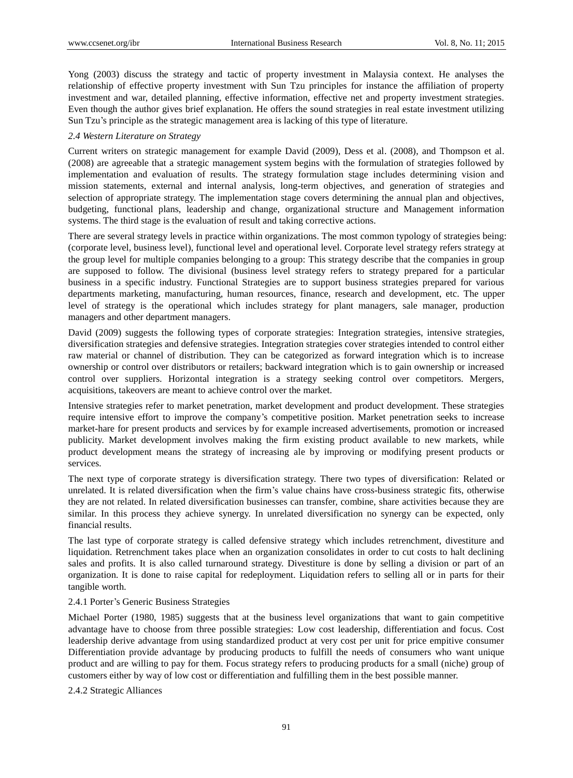Yong (2003) discuss the strategy and tactic of property investment in Malaysia context. He analyses the relationship of effective property investment with Sun Tzu principles for instance the affiliation of property investment and war, detailed planning, effective information, effective net and property investment strategies. Even though the author gives brief explanation. He offers the sound strategies in real estate investment utilizing Sun Tzu"s principle as the strategic management area is lacking of this type of literature.

## *2.4 Western Literature on Strategy*

Current writers on strategic management for example David (2009), Dess et al. (2008), and Thompson et al. (2008) are agreeable that a strategic management system begins with the formulation of strategies followed by implementation and evaluation of results. The strategy formulation stage includes determining vision and mission statements, external and internal analysis, long-term objectives, and generation of strategies and selection of appropriate strategy. The implementation stage covers determining the annual plan and objectives, budgeting, functional plans, leadership and change, organizational structure and Management information systems. The third stage is the evaluation of result and taking corrective actions.

There are several strategy levels in practice within organizations. The most common typology of strategies being: (corporate level, business level), functional level and operational level. Corporate level strategy refers strategy at the group level for multiple companies belonging to a group: This strategy describe that the companies in group are supposed to follow. The divisional (business level strategy refers to strategy prepared for a particular business in a specific industry. Functional Strategies are to support business strategies prepared for various departments marketing, manufacturing, human resources, finance, research and development, etc. The upper level of strategy is the operational which includes strategy for plant managers, sale manager, production managers and other department managers.

David (2009) suggests the following types of corporate strategies: Integration strategies, intensive strategies, diversification strategies and defensive strategies. Integration strategies cover strategies intended to control either raw material or channel of distribution. They can be categorized as forward integration which is to increase ownership or control over distributors or retailers; backward integration which is to gain ownership or increased control over suppliers. Horizontal integration is a strategy seeking control over competitors. Mergers, acquisitions, takeovers are meant to achieve control over the market.

Intensive strategies refer to market penetration, market development and product development. These strategies require intensive effort to improve the company"s competitive position. Market penetration seeks to increase market-hare for present products and services by for example increased advertisements, promotion or increased publicity. Market development involves making the firm existing product available to new markets, while product development means the strategy of increasing ale by improving or modifying present products or services.

The next type of corporate strategy is diversification strategy. There two types of diversification: Related or unrelated. It is related diversification when the firm"s value chains have cross-business strategic fits, otherwise they are not related. In related diversification businesses can transfer, combine, share activities because they are similar. In this process they achieve synergy. In unrelated diversification no synergy can be expected, only financial results.

The last type of corporate strategy is called defensive strategy which includes retrenchment, divestiture and liquidation. Retrenchment takes place when an organization consolidates in order to cut costs to halt declining sales and profits. It is also called turnaround strategy. Divestiture is done by selling a division or part of an organization. It is done to raise capital for redeployment. Liquidation refers to selling all or in parts for their tangible worth.

# 2.4.1 Porter"s Generic Business Strategies

Michael Porter (1980, 1985) suggests that at the business level organizations that want to gain competitive advantage have to choose from three possible strategies: Low cost leadership, differentiation and focus. Cost leadership derive advantage from using standardized product at very cost per unit for price empitive consumer Differentiation provide advantage by producing products to fulfill the needs of consumers who want unique product and are willing to pay for them. Focus strategy refers to producing products for a small (niche) group of customers either by way of low cost or differentiation and fulfilling them in the best possible manner.

2.4.2 Strategic Alliances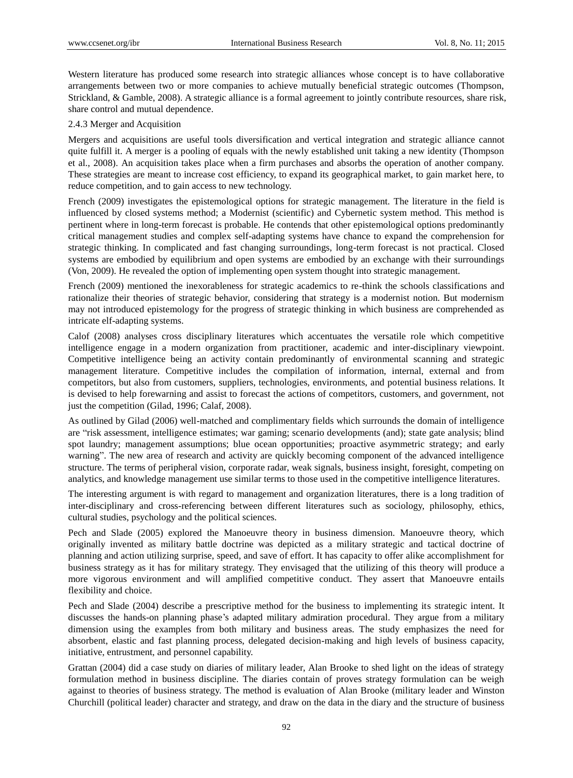Western literature has produced some research into strategic alliances whose concept is to have collaborative arrangements between two or more companies to achieve mutually beneficial strategic outcomes (Thompson, Strickland, & Gamble, 2008). A strategic alliance is a formal agreement to jointly contribute resources, share risk, share control and mutual dependence.

#### 2.4.3 Merger and Acquisition

Mergers and acquisitions are useful tools diversification and vertical integration and strategic alliance cannot quite fulfill it. A merger is a pooling of equals with the newly established unit taking a new identity (Thompson et al., 2008). An acquisition takes place when a firm purchases and absorbs the operation of another company. These strategies are meant to increase cost efficiency, to expand its geographical market, to gain market here, to reduce competition, and to gain access to new technology.

French (2009) investigates the epistemological options for strategic management. The literature in the field is influenced by closed systems method; a Modernist (scientific) and Cybernetic system method. This method is pertinent where in long-term forecast is probable. He contends that other epistemological options predominantly critical management studies and complex self-adapting systems have chance to expand the comprehension for strategic thinking. In complicated and fast changing surroundings, long-term forecast is not practical. Closed systems are embodied by equilibrium and open systems are embodied by an exchange with their surroundings (Von, 2009). He revealed the option of implementing open system thought into strategic management.

French (2009) mentioned the inexorableness for strategic academics to re-think the schools classifications and rationalize their theories of strategic behavior, considering that strategy is a modernist notion. But modernism may not introduced epistemology for the progress of strategic thinking in which business are comprehended as intricate elf-adapting systems.

Calof (2008) analyses cross disciplinary literatures which accentuates the versatile role which competitive intelligence engage in a modern organization from practitioner, academic and inter-disciplinary viewpoint. Competitive intelligence being an activity contain predominantly of environmental scanning and strategic management literature. Competitive includes the compilation of information, internal, external and from competitors, but also from customers, suppliers, technologies, environments, and potential business relations. It is devised to help forewarning and assist to forecast the actions of competitors, customers, and government, not just the competition (Gilad, 1996; Calaf, 2008).

As outlined by Gilad (2006) well-matched and complimentary fields which surrounds the domain of intelligence are "risk assessment, intelligence estimates; war gaming; scenario developments (and); state gate analysis; blind spot laundry; management assumptions; blue ocean opportunities; proactive asymmetric strategy; and early warning". The new area of research and activity are quickly becoming component of the advanced intelligence structure. The terms of peripheral vision, corporate radar, weak signals, business insight, foresight, competing on analytics, and knowledge management use similar terms to those used in the competitive intelligence literatures.

The interesting argument is with regard to management and organization literatures, there is a long tradition of inter-disciplinary and cross-referencing between different literatures such as sociology, philosophy, ethics, cultural studies, psychology and the political sciences.

Pech and Slade (2005) explored the Manoeuvre theory in business dimension. Manoeuvre theory, which originally invented as military battle doctrine was depicted as a military strategic and tactical doctrine of planning and action utilizing surprise, speed, and save of effort. It has capacity to offer alike accomplishment for business strategy as it has for military strategy. They envisaged that the utilizing of this theory will produce a more vigorous environment and will amplified competitive conduct. They assert that Manoeuvre entails flexibility and choice.

Pech and Slade (2004) describe a prescriptive method for the business to implementing its strategic intent. It discusses the hands-on planning phase"s adapted military admiration procedural. They argue from a military dimension using the examples from both military and business areas. The study emphasizes the need for absorbent, elastic and fast planning process, delegated decision-making and high levels of business capacity, initiative, entrustment, and personnel capability.

Grattan (2004) did a case study on diaries of military leader, Alan Brooke to shed light on the ideas of strategy formulation method in business discipline. The diaries contain of proves strategy formulation can be weigh against to theories of business strategy. The method is evaluation of Alan Brooke (military leader and Winston Churchill (political leader) character and strategy, and draw on the data in the diary and the structure of business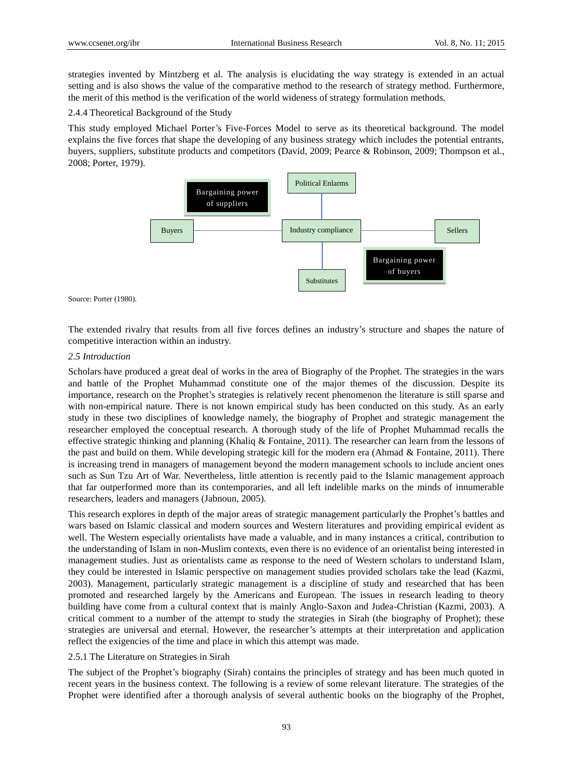strategies invented by Mintzberg et al. The analysis is elucidating the way strategy is extended in an actual setting and is also shows the value of the comparative method to the research of strategy method. Furthermore, the merit of this method is the verification of the world wideness of strategy formulation methods.

## 2.4.4 Theoretical Background of the Study

This study employed Michael Porter"s Five-Forces Model to serve as its theoretical background. The model explains the five forces that shape the developing of any business strategy which includes the potential entrants, buyers, suppliers, substitute products and competitors (David, 2009; Pearce & Robinson, 2009; Thompson et al., 2008; Porter, 1979).



#### Source: Porter (1980).

The extended rivalry that results from all five forces defines an industry"s structure and shapes the nature of competitive interaction within an industry.

## *2.5 Introduction*

Scholars have produced a great deal of works in the area of Biography of the Prophet. The strategies in the wars and battle of the Prophet Muhammad constitute one of the major themes of the discussion. Despite its importance, research on the Prophet's strategies is relatively recent phenomenon the literature is still sparse and with non-empirical nature. There is not known empirical study has been conducted on this study. As an early study in these two disciplines of knowledge namely, the biography of Prophet and strategic management the researcher employed the conceptual research. A thorough study of the life of Prophet Muhammad recalls the effective strategic thinking and planning (Khaliq & Fontaine, 2011). The researcher can learn from the lessons of the past and build on them. While developing strategic kill for the modern era (Ahmad & Fontaine, 2011). There is increasing trend in managers of management beyond the modern management schools to include ancient ones such as Sun Tzu Art of War. Nevertheless, little attention is recently paid to the Islamic management approach that far outperformed more than its contemporaries, and all left indelible marks on the minds of innumerable researchers, leaders and managers (Jabnoun, 2005).

This research explores in depth of the major areas of strategic management particularly the Prophet"s battles and wars based on Islamic classical and modern sources and Western literatures and providing empirical evident as well. The Western especially orientalists have made a valuable, and in many instances a critical, contribution to the understanding of Islam in non-Muslim contexts, even there is no evidence of an orientalist being interested in management studies. Just as orientalists came as response to the need of Western scholars to understand Islam, they could be interested in Islamic perspective on management studies provided scholars take the lead (Kazmi, 2003). Management, particularly strategic management is a discipline of study and researched that has been promoted and researched largely by the Americans and European. The issues in research leading to theory building have come from a cultural context that is mainly Anglo-Saxon and Judea-Christian (Kazmi, 2003). A critical comment to a number of the attempt to study the strategies in Sirah (the biography of Prophet); these strategies are universal and eternal. However, the researcher"s attempts at their interpretation and application reflect the exigencies of the time and place in which this attempt was made.

#### 2.5.1 The Literature on Strategies in Sirah

The subject of the Prophet"s biography (Sirah) contains the principles of strategy and has been much quoted in recent years in the business context. The following is a review of some relevant literature. The strategies of the Prophet were identified after a thorough analysis of several authentic books on the biography of the Prophet,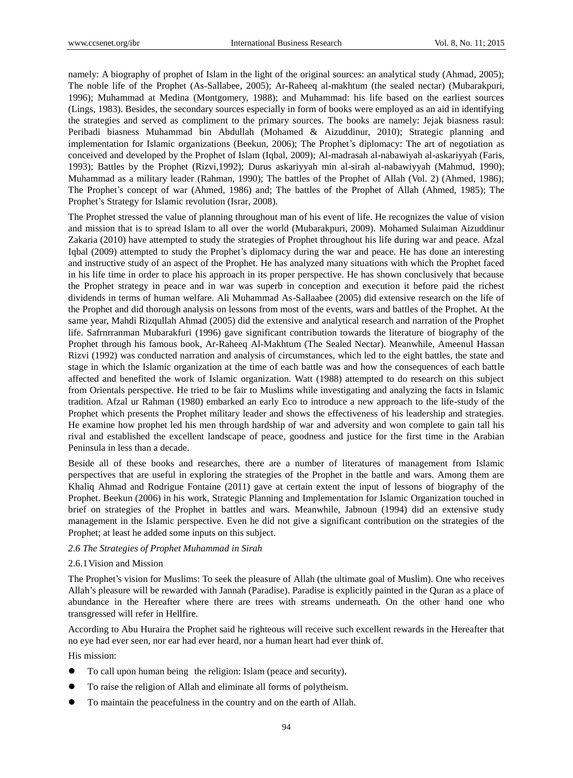namely: A biography of prophet of Islam in the light of the original sources: an analytical study (Ahmad, 2005); The noble life of the Prophet (As-Sallabee, 2005); Ar-Raheeq al-makhtum (the sealed nectar) (Mubarakpuri, 1996); Muhammad at Medina (Montgomery, 1988); and Muhammad: his life based on the earliest sources (Lings, 1983). Besides, the secondary sources especially in form of books were employed as an aid in identifying the strategies and served as compliment to the primary sources. The books are namely: Jejak biasness rasul: Peribadi biasness Muhammad bin Abdullah (Mohamed & Aizuddinur, 2010); Strategic planning and implementation for Islamic organizations (Beekun, 2006); The Prophet's diplomacy: The art of negotiation as conceived and developed by the Prophet of Islam (Iqbal, 2009); Al-madrasah al-nabawiyah al-askariyyah (Faris, 1993); Battles by the Prophet (Rizvi,1992); Durus askariyyah min al-sirah al-nabawiyyah (Mahmud, 1990); Muhammad as a military leader (Rahman, 1990); The battles of the Prophet of Allah (Vol. 2) (Ahmed, 1986); The Prophet's concept of war (Ahmed, 1986) and; The battles of the Prophet of Allah (Ahmed, 1985); The Prophet's Strategy for Islamic revolution (Israr, 2008).

The Prophet stressed the value of planning throughout man of his event of life. He recognizes the value of vision and mission that is to spread Islam to all over the world (Mubarakpuri, 2009). Mohamed Sulaiman Aizuddinur Zakaria (2010) have attempted to study the strategies of Prophet throughout his life during war and peace. Afzal Iqbal (2009) attempted to study the Prophet's diplomacy during the war and peace. He has done an interesting and instructive study of an aspect of the Prophet. He has analyzed many situations with which the Prophet faced in his life time in order to place his approach in its proper perspective. He has shown conclusively that because the Prophet strategy in peace and in war was superb in conception and execution it before paid the richest dividends in terms of human welfare. Ali Muhammad As-Sallaabee (2005) did extensive research on the life of the Prophet and did thorough analysis on lessons from most of the events, wars and battles of the Prophet. At the same year, Mahdi Rizqullah Ahmad (2005) did the extensive and analytical research and narration of the Prophet life. Safrnrranman Mubarakfuri (1996) gave significant contribution towards the literature of biography of the Prophet through his famous book, Ar-Raheeq Al-Makhtum (The Sealed Nectar). Meanwhile, Ameenul Hassan Rizvi (1992) was conducted narration and analysis of circumstances, which led to the eight battles, the state and stage in which the Islamic organization at the time of each battle was and how the consequences of each battle affected and benefited the work of Islamic organization. Watt (1988) attempted to do research on this subject from Orientals perspective. He tried to be fair to Muslims while investigating and analyzing the facts in Islamic tradition. Afzal ur Rahman (1980) embarked an early Eco to introduce a new approach to the life-study of the Prophet which presents the Prophet military leader and shows the effectiveness of his leadership and strategies. He examine how prophet led his men through hardship of war and adversity and won complete to gain tall his rival and established the excellent landscape of peace, goodness and justice for the first time in the Arabian Peninsula in less than a decade.

Beside all of these books and researches, there are a number of literatures of management from Islamic perspectives that are useful in exploring the strategies of the Prophet in the battle and wars. Among them are Khaliq Ahmad and Rodrigue Fontaine (2011) gave at certain extent the input of lessons of biography of the Prophet. Beekun (2006) in his work, Strategic Planning and Implementation for Islamic Organization touched in brief on strategies of the Prophet in battles and wars. Meanwhile, Jabnoun (1994) did an extensive study management in the Islamic perspective. Even he did not give a significant contribution on the strategies of the Prophet; at least he added some inputs on this subject.

#### *2.6 The Strategies of Prophet Muhammad in Sirah*

### 2.6.1Vision and Mission

The Prophet's vision for Muslims: To seek the pleasure of Allah (the ultimate goal of Muslim). One who receives Allah"s pleasure will be rewarded with Jannah (Paradise). Paradise is explicitly painted in the Quran as a place of abundance in the Hereafter where there are trees with streams underneath. On the other hand one who transgressed will refer in Hellfire.

According to Abu Huraira the Prophet said he righteous will receive such excellent rewards in the Hereafter that no eye had ever seen, nor ear had ever heard, nor a human heart had ever think of.

His mission:

- To call upon human being the religion: Islam (peace and security).
- To raise the religion of Allah and eliminate all forms of polytheism.
- To maintain the peacefulness in the country and on the earth of Allah.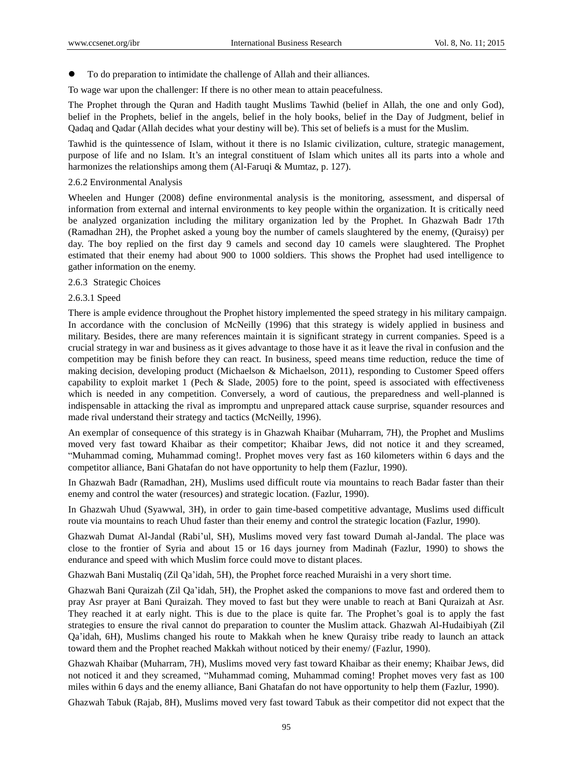To do preparation to intimidate the challenge of Allah and their alliances.

To wage war upon the challenger: If there is no other mean to attain peacefulness.

The Prophet through the Quran and Hadith taught Muslims Tawhid (belief in Allah, the one and only God), belief in the Prophets, belief in the angels, belief in the holy books, belief in the Day of Judgment, belief in Qadaq and Qadar (Allah decides what your destiny will be). This set of beliefs is a must for the Muslim.

Tawhid is the quintessence of Islam, without it there is no Islamic civilization, culture, strategic management, purpose of life and no Islam. It"s an integral constituent of Islam which unites all its parts into a whole and harmonizes the relationships among them (Al-Faruqi & Mumtaz, p. 127).

#### 2.6.2 Environmental Analysis

Wheelen and Hunger (2008) define environmental analysis is the monitoring, assessment, and dispersal of information from external and internal environments to key people within the organization. It is critically need be analyzed organization including the military organization led by the Prophet. In Ghazwah Badr 17th (Ramadhan 2H), the Prophet asked a young boy the number of camels slaughtered by the enemy, (Quraisy) per day. The boy replied on the first day 9 camels and second day 10 camels were slaughtered. The Prophet estimated that their enemy had about 900 to 1000 soldiers. This shows the Prophet had used intelligence to gather information on the enemy.

#### 2.6.3 Strategic Choices

## 2.6.3.1 Speed

There is ample evidence throughout the Prophet history implemented the speed strategy in his military campaign. In accordance with the conclusion of McNeilly (1996) that this strategy is widely applied in business and military. Besides, there are many references maintain it is significant strategy in current companies. Speed is a crucial strategy in war and business as it gives advantage to those have it as it leave the rival in confusion and the competition may be finish before they can react. In business, speed means time reduction, reduce the time of making decision, developing product (Michaelson & Michaelson, 2011), responding to Customer Speed offers capability to exploit market 1 (Pech & Slade, 2005) fore to the point, speed is associated with effectiveness which is needed in any competition. Conversely, a word of cautious, the preparedness and well-planned is indispensable in attacking the rival as impromptu and unprepared attack cause surprise, squander resources and made rival understand their strategy and tactics (McNeilly, 1996).

An exemplar of consequence of this strategy is in Ghazwah Khaibar (Muharram, 7H), the Prophet and Muslims moved very fast toward Khaibar as their competitor; Khaibar Jews, did not notice it and they screamed, "Muhammad coming, Muhammad coming!. Prophet moves very fast as 160 kilometers within 6 days and the competitor alliance, Bani Ghatafan do not have opportunity to help them (Fazlur, 1990).

In Ghazwah Badr (Ramadhan, 2H), Muslims used difficult route via mountains to reach Badar faster than their enemy and control the water (resources) and strategic location. (Fazlur, 1990).

In Ghazwah Uhud (Syawwal, 3H), in order to gain time-based competitive advantage, Muslims used difficult route via mountains to reach Uhud faster than their enemy and control the strategic location (Fazlur, 1990).

Ghazwah Dumat Al-Jandal (Rabi"ul, SH), Muslims moved very fast toward Dumah al-Jandal. The place was close to the frontier of Syria and about 15 or 16 days journey from Madinah (Fazlur, 1990) to shows the endurance and speed with which Muslim force could move to distant places.

Ghazwah Bani Mustaliq (Zil Qa"idah, 5H), the Prophet force reached Muraishi in a very short time.

Ghazwah Bani Quraizah (Zil Qa"idah, 5H), the Prophet asked the companions to move fast and ordered them to pray Asr prayer at Bani Quraizah. They moved to fast but they were unable to reach at Bani Quraizah at Asr. They reached it at early night. This is due to the place is quite far. The Prophet"s goal is to apply the fast strategies to ensure the rival cannot do preparation to counter the Muslim attack. Ghazwah Al-Hudaibiyah (Zil Qa"idah, 6H), Muslims changed his route to Makkah when he knew Quraisy tribe ready to launch an attack toward them and the Prophet reached Makkah without noticed by their enemy/ (Fazlur, 1990).

Ghazwah Khaibar (Muharram, 7H), Muslims moved very fast toward Khaibar as their enemy; Khaibar Jews, did not noticed it and they screamed, "Muhammad coming, Muhammad coming! Prophet moves very fast as 100 miles within 6 days and the enemy alliance, Bani Ghatafan do not have opportunity to help them (Fazlur, 1990).

Ghazwah Tabuk (Rajab, 8H), Muslims moved very fast toward Tabuk as their competitor did not expect that the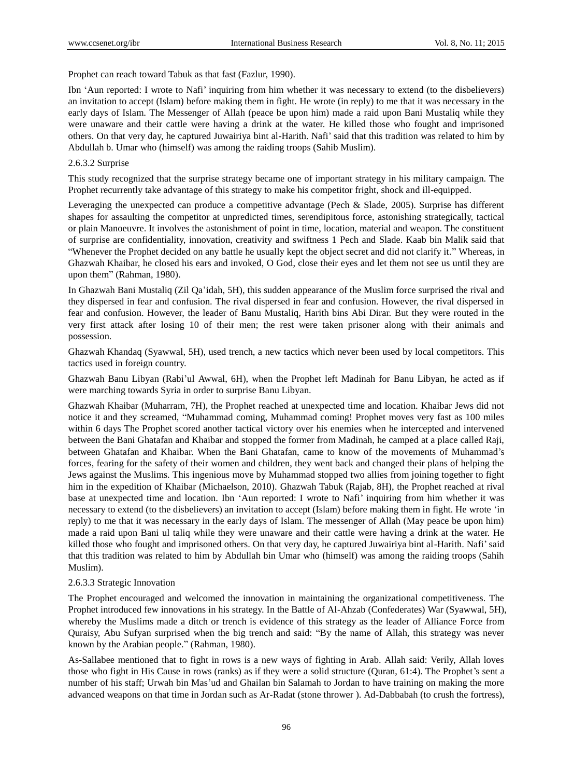Prophet can reach toward Tabuk as that fast (Fazlur, 1990).

Ibn "Aun reported: I wrote to Nafi" inquiring from him whether it was necessary to extend (to the disbelievers) an invitation to accept (Islam) before making them in fight. He wrote (in reply) to me that it was necessary in the early days of Islam. The Messenger of Allah (peace be upon him) made a raid upon Bani Mustaliq while they were unaware and their cattle were having a drink at the water. He killed those who fought and imprisoned others. On that very day, he captured Juwairiya bint al-Harith. Nafi" said that this tradition was related to him by Abdullah b. Umar who (himself) was among the raiding troops (Sahib Muslim).

## 2.6.3.2 Surprise

This study recognized that the surprise strategy became one of important strategy in his military campaign. The Prophet recurrently take advantage of this strategy to make his competitor fright, shock and ill-equipped.

Leveraging the unexpected can produce a competitive advantage (Pech & Slade, 2005). Surprise has different shapes for assaulting the competitor at unpredicted times, serendipitous force, astonishing strategically, tactical or plain Manoeuvre. It involves the astonishment of point in time, location, material and weapon. The constituent of surprise are confidentiality, innovation, creativity and swiftness 1 Pech and Slade. Kaab bin Malik said that "Whenever the Prophet decided on any battle he usually kept the object secret and did not clarify it." Whereas, in Ghazwah Khaibar, he closed his ears and invoked, O God, close their eyes and let them not see us until they are upon them" (Rahman, 1980).

In Ghazwah Bani Mustaliq (Zil Qa"idah, 5H), this sudden appearance of the Muslim force surprised the rival and they dispersed in fear and confusion. The rival dispersed in fear and confusion. However, the rival dispersed in fear and confusion. However, the leader of Banu Mustaliq, Harith bins Abi Dirar. But they were routed in the very first attack after losing 10 of their men; the rest were taken prisoner along with their animals and possession.

Ghazwah Khandaq (Syawwal, 5H), used trench, a new tactics which never been used by local competitors. This tactics used in foreign country.

Ghazwah Banu Libyan (Rabi"ul Awwal, 6H), when the Prophet left Madinah for Banu Libyan, he acted as if were marching towards Syria in order to surprise Banu Libyan.

Ghazwah Khaibar (Muharram, 7H), the Prophet reached at unexpected time and location. Khaibar Jews did not notice it and they screamed, "Muhammad coming, Muhammad coming! Prophet moves very fast as 100 miles within 6 days The Prophet scored another tactical victory over his enemies when he intercepted and intervened between the Bani Ghatafan and Khaibar and stopped the former from Madinah, he camped at a place called Raji, between Ghatafan and Khaibar. When the Bani Ghatafan, came to know of the movements of Muhammad's forces, fearing for the safety of their women and children, they went back and changed their plans of helping the Jews against the Muslims. This ingenious move by Muhammad stopped two allies from joining together to fight him in the expedition of Khaibar (Michaelson, 2010). Ghazwah Tabuk (Rajab, 8H), the Prophet reached at rival base at unexpected time and location. Ibn "Aun reported: I wrote to Nafi" inquiring from him whether it was necessary to extend (to the disbelievers) an invitation to accept (Islam) before making them in fight. He wrote "in reply) to me that it was necessary in the early days of Islam. The messenger of Allah (May peace be upon him) made a raid upon Bani ul taliq while they were unaware and their cattle were having a drink at the water. He killed those who fought and imprisoned others. On that very day, he captured Juwairiya bint al-Harith. Nafi' said that this tradition was related to him by Abdullah bin Umar who (himself) was among the raiding troops (Sahih Muslim).

#### 2.6.3.3 Strategic Innovation

The Prophet encouraged and welcomed the innovation in maintaining the organizational competitiveness. The Prophet introduced few innovations in his strategy. In the Battle of Al-Ahzab (Confederates) War (Syawwal, 5H), whereby the Muslims made a ditch or trench is evidence of this strategy as the leader of Alliance Force from Quraisy, Abu Sufyan surprised when the big trench and said: "By the name of Allah, this strategy was never known by the Arabian people." (Rahman, 1980).

As-Sallabee mentioned that to fight in rows is a new ways of fighting in Arab. Allah said: Verily, Allah loves those who fight in His Cause in rows (ranks) as if they were a solid structure (Quran,  $61:4$ ). The Prophet's sent a number of his staff; Urwah bin Mas"ud and Ghailan bin Salamah to Jordan to have training on making the more advanced weapons on that time in Jordan such as Ar-Radat (stone thrower ). Ad-Dabbabah (to crush the fortress),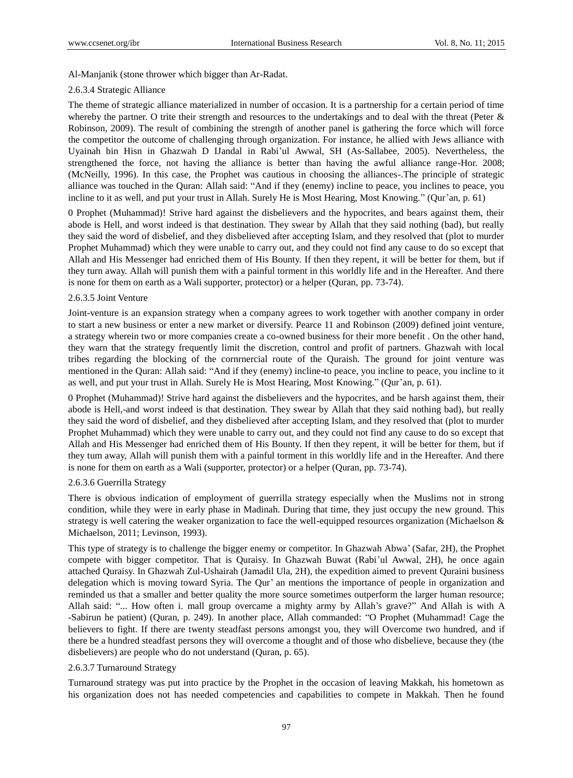Al-Manjanik (stone thrower which bigger than Ar-Radat.

#### 2.6.3.4 Strategic Alliance

The theme of strategic alliance materialized in number of occasion. It is a partnership for a certain period of time whereby the partner. O trite their strength and resources to the undertakings and to deal with the threat (Peter & Robinson, 2009). The result of combining the strength of another panel is gathering the force which will force the competitor the outcome of challenging through organization. For instance, he allied with Jews alliance with Uyainah bin Hisn in Ghazwah D IJandal in Rabi"ul Awwal, SH (As-Sallabee, 2005). Nevertheless, the strengthened the force, not having the alliance is better than having the awful alliance range-Hor. 2008; (McNeilly, 1996). In this case, the Prophet was cautious in choosing the alliances-.The principle of strategic alliance was touched in the Quran: Allah said: "And if they (enemy) incline to peace, you inclines to peace, you incline to it as well, and put your trust in Allah. Surely He is Most Hearing, Most Knowing." (Qur'an, p. 61)

0 Prophet (Muhammad)! Strive hard against the disbelievers and the hypocrites, and bears against them, their abode is Hell, and worst indeed is that destination. They swear by Allah that they said nothing (bad), but really they said the word of disbelief, and they disbelieved after accepting Islam, and they resolved that (plot to murder Prophet Muhammad) which they were unable to carry out, and they could not find any cause to do so except that Allah and His Messenger had enriched them of His Bounty. If then they repent, it will be better for them, but if they turn away. Allah will punish them with a painful torment in this worldly life and in the Hereafter. And there is none for them on earth as a Wali supporter, protector) or a helper (Quran, pp. 73-74).

#### 2.6.3.5 Joint Venture

Joint-venture is an expansion strategy when a company agrees to work together with another company in order to start a new business or enter a new market or diversify. Pearce 11 and Robinson (2009) defined joint venture, a strategy wherein two or more companies create a co-owned business for their more benefit . On the other hand, they warn that the strategy frequently limit the discretion, control and profit of partners. Ghazwah with local tribes regarding the blocking of the cornrnercial route of the Quraish. The ground for joint venture was mentioned in the Quran: Allah said: "And if they (enemy) incline-to peace, you incline to peace, you incline to it as well, and put your trust in Allah. Surely He is Most Hearing, Most Knowing." (Qur"an, p. 61).

0 Prophet (Muhammad)! Strive hard against the disbelievers and the hypocrites, and be harsh against them, their abode is Hell,-and worst indeed is that destination. They swear by Allah that they said nothing bad), but really they said the word of disbelief, and they disbelieved after accepting Islam, and they resolved that (plot to murder Prophet Muhammad) which they were unable to carry out, and they could not find any cause to do so except that Allah and His Messenger had enriched them of His Bounty. If then they repent, it will be better for them, but if they tum away, Allah will punish them with a painful torment in this worldly life and in the Hereafter. And there is none for them on earth as a Wali (supporter, protector) or a helper (Quran, pp. 73-74).

## 2.6.3.6 Guerrilla Strategy

There is obvious indication of employment of guerrilla strategy especially when the Muslims not in strong condition, while they were in early phase in Madinah. During that time, they just occupy the new ground. This strategy is well catering the weaker organization to face the well-equipped resources organization (Michaelson & Michaelson, 2011; Levinson, 1993).

This type of strategy is to challenge the bigger enemy or competitor. In Ghazwah Abwa" (Safar, 2H), the Prophet compete with bigger competitor. That is Quraisy. In Ghazwah Buwat (Rabi"ul Awwal, 2H), he once again attached Quraisy. In Ghazwah Zul-Ushairah (Jamadil Ula, 2H), the expedition aimed to prevent Quraini business delegation which is moving toward Syria. The Qur" an mentions the importance of people in organization and reminded us that a smaller and better quality the more source sometimes outperform the larger human resource; Allah said: "... How often i. mall group overcame a mighty army by Allah"s grave?" And Allah is with A -Sabirun he patient) (Quran, p. 249). In another place, Allah commanded: "O Prophet (Muhammad! Cage the believers to fight. If there are twenty steadfast persons amongst you, they will Overcome two hundred, and if there be a hundred steadfast persons they will overcome a thought and of those who disbelieve, because they (the disbelievers) are people who do not understand (Quran, p. 65).

# 2.6.3.7 Turnaround Strategy

Turnaround strategy was put into practice by the Prophet in the occasion of leaving Makkah, his hometown as his organization does not has needed competencies and capabilities to compete in Makkah. Then he found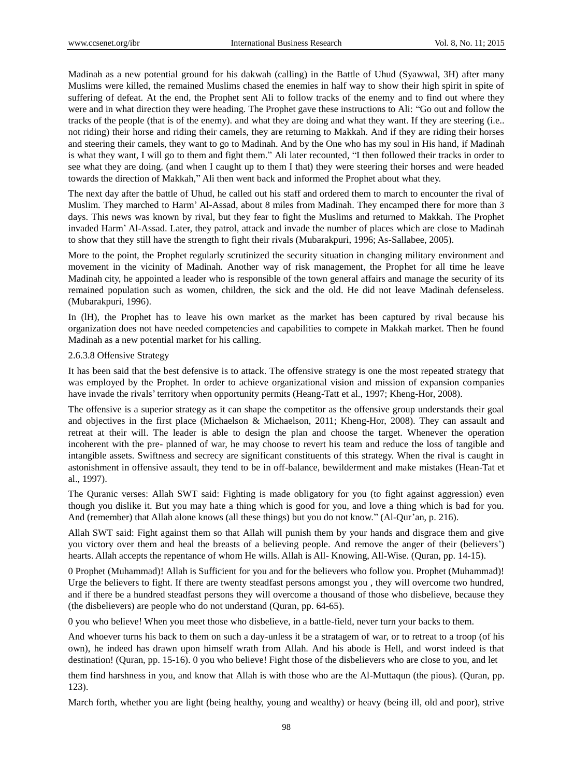Madinah as a new potential ground for his dakwah (calling) in the Battle of Uhud (Syawwal, 3H) after many Muslims were killed, the remained Muslims chased the enemies in half way to show their high spirit in spite of suffering of defeat. At the end, the Prophet sent Ali to follow tracks of the enemy and to find out where they were and in what direction they were heading. The Prophet gave these instructions to Ali: "Go out and follow the tracks of the people (that is of the enemy). and what they are doing and what they want. If they are steering (i.e.. not riding) their horse and riding their camels, they are returning to Makkah. And if they are riding their horses and steering their camels, they want to go to Madinah. And by the One who has my soul in His hand, if Madinah is what they want, I will go to them and fight them." Ali later recounted, "I then followed their tracks in order to see what they are doing. (and when I caught up to them I that) they were steering their horses and were headed towards the direction of Makkah," Ali then went back and informed the Prophet about what they.

The next day after the battle of Uhud, he called out his staff and ordered them to march to encounter the rival of Muslim. They marched to Harm" Al-Assad, about 8 miles from Madinah. They encamped there for more than 3 days. This news was known by rival, but they fear to fight the Muslims and returned to Makkah. The Prophet invaded Harm" Al-Assad. Later, they patrol, attack and invade the number of places which are close to Madinah to show that they still have the strength to fight their rivals (Mubarakpuri, 1996; As-Sallabee, 2005).

More to the point, the Prophet regularly scrutinized the security situation in changing military environment and movement in the vicinity of Madinah. Another way of risk management, the Prophet for all time he leave Madinah city, he appointed a leader who is responsible of the town general affairs and manage the security of its remained population such as women, children, the sick and the old. He did not leave Madinah defenseless. (Mubarakpuri, 1996).

In (IH), the Prophet has to leave his own market as the market has been captured by rival because his organization does not have needed competencies and capabilities to compete in Makkah market. Then he found Madinah as a new potential market for his calling.

2.6.3.8 Offensive Strategy

It has been said that the best defensive is to attack. The offensive strategy is one the most repeated strategy that was employed by the Prophet. In order to achieve organizational vision and mission of expansion companies have invade the rivals' territory when opportunity permits (Heang-Tatt et al., 1997; Kheng-Hor, 2008).

The offensive is a superior strategy as it can shape the competitor as the offensive group understands their goal and objectives in the first place (Michaelson & Michaelson, 2011; Kheng-Hor, 2008). They can assault and retreat at their will. The leader is able to design the plan and choose the target. Whenever the operation incoherent with the pre- planned of war, he may choose to revert his team and reduce the loss of tangible and intangible assets. Swiftness and secrecy are significant constituents of this strategy. When the rival is caught in astonishment in offensive assault, they tend to be in off-balance, bewilderment and make mistakes (Hean-Tat et al., 1997).

The Quranic verses: Allah SWT said: Fighting is made obligatory for you (to fight against aggression) even though you dislike it. But you may hate a thing which is good for you, and love a thing which is bad for you. And (remember) that Allah alone knows (all these things) but you do not know." (Al-Qur'an, p. 216).

Allah SWT said: Fight against them so that Allah will punish them by your hands and disgrace them and give you victory over them and heal the breasts of a believing people. And remove the anger of their (believers") hearts. Allah accepts the repentance of whom He wills. Allah is All- Knowing, All-Wise. (Quran, pp. 14-15).

0 Prophet (Muhammad)! Allah is Sufficient for you and for the believers who follow you. Prophet (Muhammad)! Urge the believers to fight. If there are twenty steadfast persons amongst you , they will overcome two hundred, and if there be a hundred steadfast persons they will overcome a thousand of those who disbelieve, because they (the disbelievers) are people who do not understand (Quran, pp. 64-65).

0 you who believe! When you meet those who disbelieve, in a battle-field, never turn your backs to them.

And whoever turns his back to them on such a day-unless it be a stratagem of war, or to retreat to a troop (of his own), he indeed has drawn upon himself wrath from Allah. And his abode is Hell, and worst indeed is that destination! (Quran, pp. 15-16). 0 you who believe! Fight those of the disbelievers who are close to you, and let

them find harshness in you, and know that Allah is with those who are the Al-Muttaqun (the pious). (Quran, pp. 123).

March forth, whether you are light (being healthy, young and wealthy) or heavy (being ill, old and poor), strive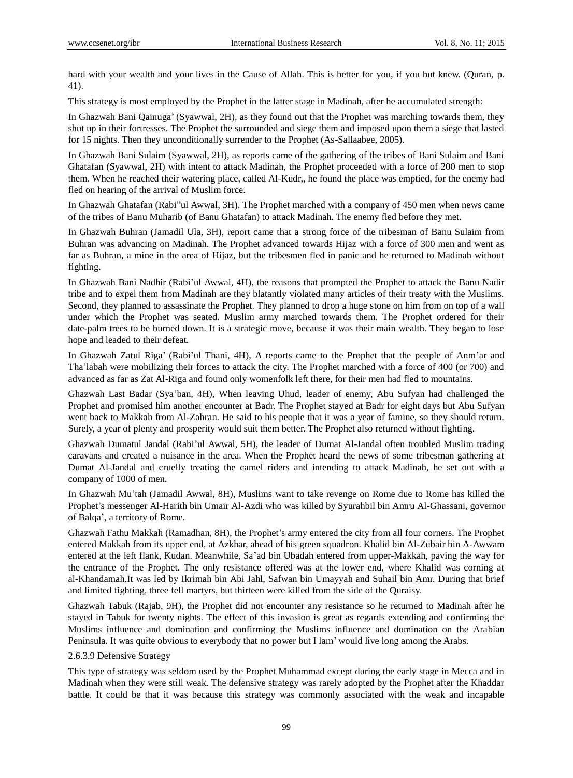hard with your wealth and your lives in the Cause of Allah. This is better for you, if you but knew. (Quran, p. 41).

This strategy is most employed by the Prophet in the latter stage in Madinah, after he accumulated strength:

In Ghazwah Bani Qainuga" (Syawwal, 2H), as they found out that the Prophet was marching towards them, they shut up in their fortresses. The Prophet the surrounded and siege them and imposed upon them a siege that lasted for 15 nights. Then they unconditionally surrender to the Prophet (As-Sallaabee, 2005).

In Ghazwah Bani Sulaim (Syawwal, 2H), as reports came of the gathering of the tribes of Bani Sulaim and Bani Ghatafan (Syawwal, 2H) with intent to attack Madinah, the Prophet proceeded with a force of 200 men to stop them. When he reached their watering place, called Al-Kudr,, he found the place was emptied, for the enemy had fled on hearing of the arrival of Muslim force.

In Ghazwah Ghatafan (Rabi"ul Awwal, 3H). The Prophet marched with a company of 450 men when news came of the tribes of Banu Muharib (of Banu Ghatafan) to attack Madinah. The enemy fled before they met.

In Ghazwah Buhran (Jamadil Ula, 3H), report came that a strong force of the tribesman of Banu Sulaim from Buhran was advancing on Madinah. The Prophet advanced towards Hijaz with a force of 300 men and went as far as Buhran, a mine in the area of Hijaz, but the tribesmen fled in panic and he returned to Madinah without fighting.

In Ghazwah Bani Nadhir (Rabi"ul Awwal, 4H), the reasons that prompted the Prophet to attack the Banu Nadir tribe and to expel them from Madinah are they blatantly violated many articles of their treaty with the Muslims. Second, they planned to assassinate the Prophet. They planned to drop a huge stone on him from on top of a wall under which the Prophet was seated. Muslim army marched towards them. The Prophet ordered for their date-palm trees to be burned down. It is a strategic move, because it was their main wealth. They began to lose hope and leaded to their defeat.

In Ghazwah Zatul Riga" (Rabi"ul Thani, 4H), A reports came to the Prophet that the people of Anm"ar and Tha"labah were mobilizing their forces to attack the city. The Prophet marched with a force of 400 (or 700) and advanced as far as Zat Al-Riga and found only womenfolk left there, for their men had fled to mountains.

Ghazwah Last Badar (Sya"ban, 4H), When leaving Uhud, leader of enemy, Abu Sufyan had challenged the Prophet and promised him another encounter at Badr. The Prophet stayed at Badr for eight days but Abu Sufyan went back to Makkah from Al-Zahran. He said to his people that it was a year of famine, so they should return. Surely, a year of plenty and prosperity would suit them better. The Prophet also returned without fighting.

Ghazwah Dumatul Jandal (Rabi"ul Awwal, 5H), the leader of Dumat Al-Jandal often troubled Muslim trading caravans and created a nuisance in the area. When the Prophet heard the news of some tribesman gathering at Dumat Al-Jandal and cruelly treating the camel riders and intending to attack Madinah, he set out with a company of 1000 of men.

In Ghazwah Mu"tah (Jamadil Awwal, 8H), Muslims want to take revenge on Rome due to Rome has killed the Prophet"s messenger Al-Harith bin Umair Al-Azdi who was killed by Syurahbil bin Amru Al-Ghassani, governor of Balqa", a territory of Rome.

Ghazwah Fathu Makkah (Ramadhan, 8H), the Prophet"s army entered the city from all four corners. The Prophet entered Makkah from its upper end, at Azkhar, ahead of his green squadron. Khalid bin Al-Zubair bin A-Awwam entered at the left flank, Kudan. Meanwhile, Sa"ad bin Ubadah entered from upper-Makkah, paving the way for the entrance of the Prophet. The only resistance offered was at the lower end, where Khalid was corning at al-Khandamah.It was led by Ikrimah bin Abi Jahl, Safwan bin Umayyah and Suhail bin Amr. During that brief and limited fighting, three fell martyrs, but thirteen were killed from the side of the Quraisy.

Ghazwah Tabuk (Rajab, 9H), the Prophet did not encounter any resistance so he returned to Madinah after he stayed in Tabuk for twenty nights. The effect of this invasion is great as regards extending and confirming the Muslims influence and domination and confirming the Muslims influence and domination on the Arabian Peninsula. It was quite obvious to everybody that no power but I lam" would live long among the Arabs.

## 2.6.3.9 Defensive Strategy

This type of strategy was seldom used by the Prophet Muhammad except during the early stage in Mecca and in Madinah when they were still weak. The defensive strategy was rarely adopted by the Prophet after the Khaddar battle. It could be that it was because this strategy was commonly associated with the weak and incapable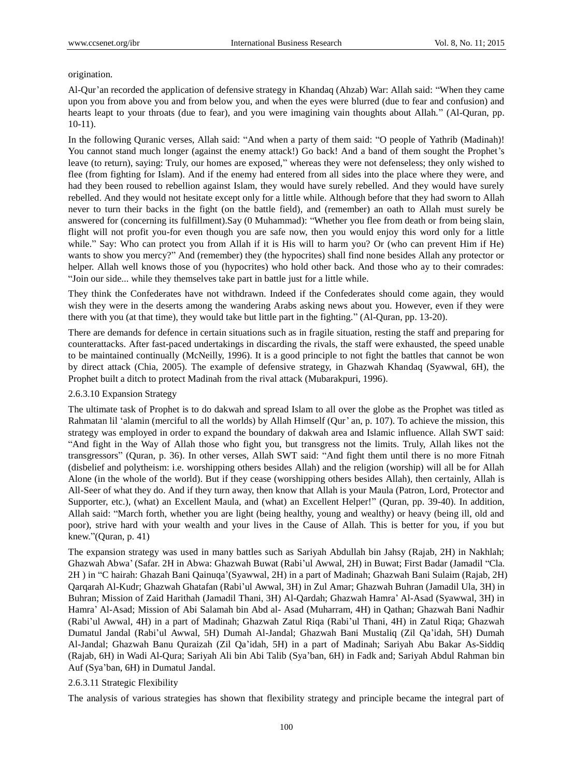## origination.

Al-Qur"an recorded the application of defensive strategy in Khandaq (Ahzab) War: Allah said: "When they came upon you from above you and from below you, and when the eyes were blurred (due to fear and confusion) and hearts leapt to your throats (due to fear), and you were imagining vain thoughts about Allah." (Al-Quran, pp. 10-11).

In the following Quranic verses, Allah said: "And when a party of them said: "O people of Yathrib (Madinah)! You cannot stand much longer (against the enemy attack!) Go back! And a band of them sought the Prophet's leave (to return), saying: Truly, our homes are exposed," whereas they were not defenseless; they only wished to flee (from fighting for Islam). And if the enemy had entered from all sides into the place where they were, and had they been roused to rebellion against Islam, they would have surely rebelled. And they would have surely rebelled. And they would not hesitate except only for a little while. Although before that they had sworn to Allah never to turn their backs in the fight (on the battle field), and (remember) an oath to Allah must surely be answered for (concerning its fulfillment).Say (0 Muhammad): "Whether you flee from death or from being slain, flight will not profit you-for even though you are safe now, then you would enjoy this word only for a little while." Say: Who can protect you from Allah if it is His will to harm you? Or (who can prevent Him if He) wants to show you mercy?" And (remember) they (the hypocrites) shall find none besides Allah any protector or helper. Allah well knows those of you (hypocrites) who hold other back. And those who ay to their comrades: "Join our side... while they themselves take part in battle just for a little while.

They think the Confederates have not withdrawn. Indeed if the Confederates should come again, they would wish they were in the deserts among the wandering Arabs asking news about you. However, even if they were there with you (at that time), they would take but little part in the fighting." (Al-Quran, pp. 13-20).

There are demands for defence in certain situations such as in fragile situation, resting the staff and preparing for counterattacks. After fast-paced undertakings in discarding the rivals, the staff were exhausted, the speed unable to be maintained continually (McNeilly, 1996). It is a good principle to not fight the battles that cannot be won by direct attack (Chia, 2005). The example of defensive strategy, in Ghazwah Khandaq (Syawwal, 6H), the Prophet built a ditch to protect Madinah from the rival attack (Mubarakpuri, 1996).

## 2.6.3.10 Expansion Strategy

The ultimate task of Prophet is to do dakwah and spread Islam to all over the globe as the Prophet was titled as Rahmatan lil 'alamin (merciful to all the worlds) by Allah Himself (Qur' an, p. 107). To achieve the mission, this strategy was employed in order to expand the boundary of dakwah area and Islamic influence. Allah SWT said: "And fight in the Way of Allah those who fight you, but transgress not the limits. Truly, Allah likes not the transgressors" (Quran, p. 36). In other verses, Allah SWT said: "And fight them until there is no more Fitnah (disbelief and polytheism: i.e. worshipping others besides Allah) and the religion (worship) will all be for Allah Alone (in the whole of the world). But if they cease (worshipping others besides Allah), then certainly, Allah is All-Seer of what they do. And if they turn away, then know that Allah is your Maula (Patron, Lord, Protector and Supporter, etc.), (what) an Excellent Maula, and (what) an Excellent Helper!" (Quran, pp. 39-40). In addition, Allah said: "March forth, whether you are light (being healthy, young and wealthy) or heavy (being ill, old and poor), strive hard with your wealth and your lives in the Cause of Allah. This is better for you, if you but knew."(Quran, p. 41)

The expansion strategy was used in many battles such as Sariyah Abdullah bin Jahsy (Rajab, 2H) in Nakhlah; Ghazwah Abwa" (Safar. 2H in Abwa: Ghazwah Buwat (Rabi"ul Awwal, 2H) in Buwat; First Badar (Jamadil "Cla. 2H ) in "C hairah: Ghazah Bani Qainuqa"(Syawwal, 2H) in a part of Madinah; Ghazwah Bani Sulaim (Rajab, 2H) Qarqarah Al-Kudr; Ghazwah Ghatafan (Rabi"ul Awwal, 3H) in Zul Amar; Ghazwah Buhran (Jamadil Ula, 3H) in Buhran; Mission of Zaid Harithah (Jamadil Thani, 3H) Al-Qardah; Ghazwah Hamra" Al-Asad (Syawwal, 3H) in Hamra" Al-Asad; Mission of Abi Salamah bin Abd al- Asad (Muharram, 4H) in Qathan; Ghazwah Bani Nadhir (Rabi"ul Awwal, 4H) in a part of Madinah; Ghazwah Zatul Riqa (Rabi"ul Thani, 4H) in Zatul Riqa; Ghazwah Dumatul Jandal (Rabi"ul Awwal, 5H) Dumah Al-Jandal; Ghazwah Bani Mustaliq (Zil Qa"idah, 5H) Dumah Al-Jandal; Ghazwah Banu Quraizah (Zil Qa"idah, 5H) in a part of Madinah; Sariyah Abu Bakar As-Siddiq (Rajab, 6H) in Wadi Al-Qura; Sariyah Ali bin Abi Talib (Sya"ban, 6H) in Fadk and; Sariyah Abdul Rahman bin Auf (Sya"ban, 6H) in Dumatul Jandal.

## 2.6.3.11 Strategic Flexibility

The analysis of various strategies has shown that flexibility strategy and principle became the integral part of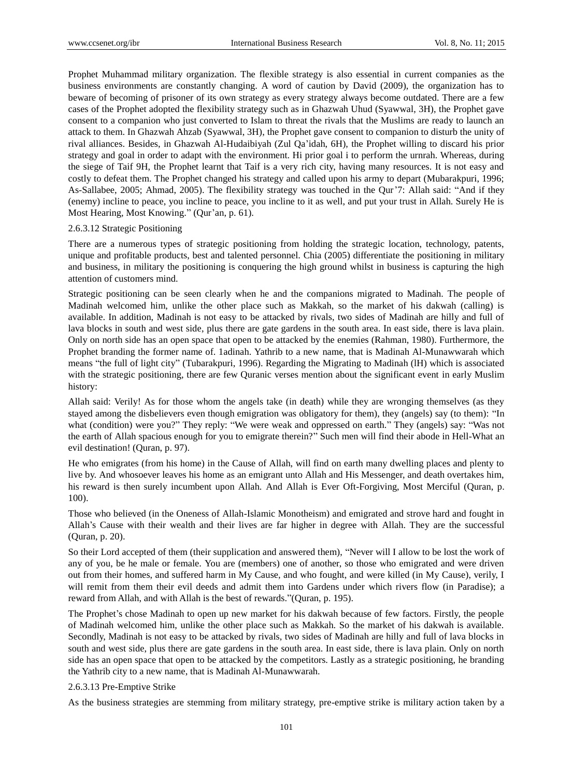Prophet Muhammad military organization. The flexible strategy is also essential in current companies as the business environments are constantly changing. A word of caution by David (2009), the organization has to beware of becoming of prisoner of its own strategy as every strategy always become outdated. There are a few cases of the Prophet adopted the flexibility strategy such as in Ghazwah Uhud (Syawwal, 3H), the Prophet gave consent to a companion who just converted to Islam to threat the rivals that the Muslims are ready to launch an attack to them. In Ghazwah Ahzab (Syawwal, 3H), the Prophet gave consent to companion to disturb the unity of rival alliances. Besides, in Ghazwah Al-Hudaibiyah (Zul Qa"idah, 6H), the Prophet willing to discard his prior strategy and goal in order to adapt with the environment. Hi prior goal i to perform the urnrah. Whereas, during the siege of Taif 9H, the Prophet learnt that Taif is a very rich city, having many resources. It is not easy and costly to defeat them. The Prophet changed his strategy and called upon his army to depart (Mubarakpuri, 1996; As-Sallabee, 2005; Ahmad, 2005). The flexibility strategy was touched in the Qur"7: Allah said: "And if they (enemy) incline to peace, you incline to peace, you incline to it as well, and put your trust in Allah. Surely He is Most Hearing, Most Knowing." (Qur'an, p. 61).

#### 2.6.3.12 Strategic Positioning

There are a numerous types of strategic positioning from holding the strategic location, technology, patents, unique and profitable products, best and talented personnel. Chia (2005) differentiate the positioning in military and business, in military the positioning is conquering the high ground whilst in business is capturing the high attention of customers mind.

Strategic positioning can be seen clearly when he and the companions migrated to Madinah. The people of Madinah welcomed him, unlike the other place such as Makkah, so the market of his dakwah (calling) is available. In addition, Madinah is not easy to be attacked by rivals, two sides of Madinah are hilly and full of lava blocks in south and west side, plus there are gate gardens in the south area. In east side, there is lava plain. Only on north side has an open space that open to be attacked by the enemies (Rahman, 1980). Furthermore, the Prophet branding the former name of. 1adinah. Yathrib to a new name, that is Madinah Al-Munawwarah which means "the full of light city" (Tubarakpuri, 1996). Regarding the Migrating to Madinah (lH) which is associated with the strategic positioning, there are few Quranic verses mention about the significant event in early Muslim history:

Allah said: Verily! As for those whom the angels take (in death) while they are wronging themselves (as they stayed among the disbelievers even though emigration was obligatory for them), they (angels) say (to them): "In what (condition) were you?" They reply: "We were weak and oppressed on earth." They (angels) say: "Was not the earth of Allah spacious enough for you to emigrate therein?" Such men will find their abode in Hell-What an evil destination! (Quran, p. 97).

He who emigrates (from his home) in the Cause of Allah, will find on earth many dwelling places and plenty to live by. And whosoever leaves his home as an emigrant unto Allah and His Messenger, and death overtakes him, his reward is then surely incumbent upon Allah. And Allah is Ever Oft-Forgiving, Most Merciful (Quran, p. 100).

Those who believed (in the Oneness of Allah-Islamic Monotheism) and emigrated and strove hard and fought in Allah's Cause with their wealth and their lives are far higher in degree with Allah. They are the successful (Quran, p. 20).

So their Lord accepted of them (their supplication and answered them), "Never will I allow to be lost the work of any of you, be he male or female. You are (members) one of another, so those who emigrated and were driven out from their homes, and suffered harm in My Cause, and who fought, and were killed (in My Cause), verily, I will remit from them their evil deeds and admit them into Gardens under which rivers flow (in Paradise); a reward from Allah, and with Allah is the best of rewards."(Quran, p. 195).

The Prophet's chose Madinah to open up new market for his dakwah because of few factors. Firstly, the people of Madinah welcomed him, unlike the other place such as Makkah. So the market of his dakwah is available. Secondly, Madinah is not easy to be attacked by rivals, two sides of Madinah are hilly and full of lava blocks in south and west side, plus there are gate gardens in the south area. In east side, there is lava plain. Only on north side has an open space that open to be attacked by the competitors. Lastly as a strategic positioning, he branding the Yathrib city to a new name, that is Madinah Al-Munawwarah.

#### 2.6.3.13 Pre-Emptive Strike

As the business strategies are stemming from military strategy, pre-emptive strike is military action taken by a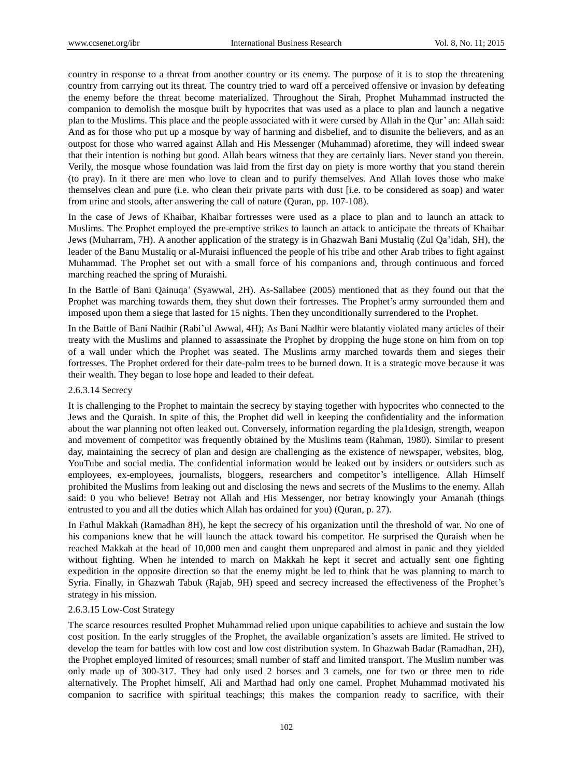country in response to a threat from another country or its enemy. The purpose of it is to stop the threatening country from carrying out its threat. The country tried to ward off a perceived offensive or invasion by defeating the enemy before the threat become materialized. Throughout the Sirah, Prophet Muhammad instructed the companion to demolish the mosque built by hypocrites that was used as a place to plan and launch a negative plan to the Muslims. This place and the people associated with it were cursed by Allah in the Qur' an: Allah said: And as for those who put up a mosque by way of harming and disbelief, and to disunite the believers, and as an outpost for those who warred against Allah and His Messenger (Muhammad) aforetime, they will indeed swear that their intention is nothing but good. Allah bears witness that they are certainly liars. Never stand you therein. Verily, the mosque whose foundation was laid from the first day on piety is more worthy that you stand therein (to pray). In it there are men who love to clean and to purify themselves. And Allah loves those who make themselves clean and pure (i.e. who clean their private parts with dust [i.e. to be considered as soap) and water from urine and stools, after answering the call of nature (Quran, pp. 107-108).

In the case of Jews of Khaibar, Khaibar fortresses were used as a place to plan and to launch an attack to Muslims. The Prophet employed the pre-emptive strikes to launch an attack to anticipate the threats of Khaibar Jews (Muharram, 7H). A another application of the strategy is in Ghazwah Bani Mustaliq (Zul Qa"idah, SH), the leader of the Banu Mustaliq or al-Muraisi influenced the people of his tribe and other Arab tribes to fight against Muhammad. The Prophet set out with a small force of his companions and, through continuous and forced marching reached the spring of Muraishi.

In the Battle of Bani Qainuqa" (Syawwal, 2H). As-Sallabee (2005) mentioned that as they found out that the Prophet was marching towards them, they shut down their fortresses. The Prophet's army surrounded them and imposed upon them a siege that lasted for 15 nights. Then they unconditionally surrendered to the Prophet.

In the Battle of Bani Nadhir (Rabi"ul Awwal, 4H); As Bani Nadhir were blatantly violated many articles of their treaty with the Muslims and planned to assassinate the Prophet by dropping the huge stone on him from on top of a wall under which the Prophet was seated. The Muslims army marched towards them and sieges their fortresses. The Prophet ordered for their date-palm trees to be burned down. It is a strategic move because it was their wealth. They began to lose hope and leaded to their defeat.

#### 2.6.3.14 Secrecy

It is challenging to the Prophet to maintain the secrecy by staying together with hypocrites who connected to the Jews and the Quraish. In spite of this, the Prophet did well in keeping the confidentiality and the information about the war planning not often leaked out. Conversely, information regarding the pla1design, strength, weapon and movement of competitor was frequently obtained by the Muslims team (Rahman, 1980). Similar to present day, maintaining the secrecy of plan and design are challenging as the existence of newspaper, websites, blog, YouTube and social media. The confidential information would be leaked out by insiders or outsiders such as employees, ex-employees, journalists, bloggers, researchers and competitor's intelligence. Allah Himself prohibited the Muslims from leaking out and disclosing the news and secrets of the Muslims to the enemy. Allah said: 0 you who believe! Betray not Allah and His Messenger, nor betray knowingly your Amanah (things entrusted to you and all the duties which Allah has ordained for you) (Quran, p. 27).

In Fathul Makkah (Ramadhan 8H), he kept the secrecy of his organization until the threshold of war. No one of his companions knew that he will launch the attack toward his competitor. He surprised the Quraish when he reached Makkah at the head of 10,000 men and caught them unprepared and almost in panic and they yielded without fighting. When he intended to march on Makkah he kept it secret and actually sent one fighting expedition in the opposite direction so that the enemy might be led to think that he was planning to march to Syria. Finally, in Ghazwah Tabuk (Rajab, 9H) speed and secrecy increased the effectiveness of the Prophet"s strategy in his mission.

#### 2.6.3.15 Low-Cost Strategy

The scarce resources resulted Prophet Muhammad relied upon unique capabilities to achieve and sustain the low cost position. In the early struggles of the Prophet, the available organization"s assets are limited. He strived to develop the team for battles with low cost and low cost distribution system. In Ghazwah Badar (Ramadhan, 2H), the Prophet employed limited of resources; small number of staff and limited transport. The Muslim number was only made up of 300-317. They had only used 2 horses and 3 camels, one for two or three men to ride alternatively. The Prophet himself, Ali and Marthad had only one camel. Prophet Muhammad motivated his companion to sacrifice with spiritual teachings; this makes the companion ready to sacrifice, with their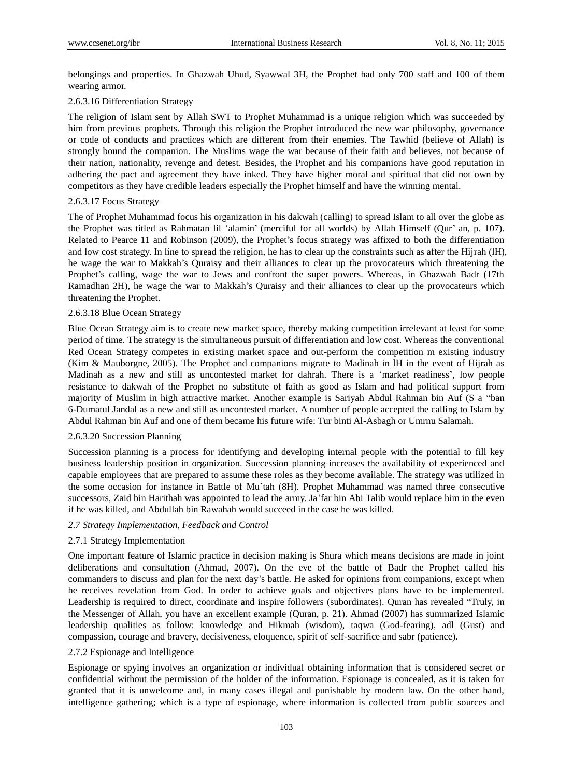belongings and properties. In Ghazwah Uhud, Syawwal 3H, the Prophet had only 700 staff and 100 of them wearing armor.

## 2.6.3.16 Differentiation Strategy

The religion of Islam sent by Allah SWT to Prophet Muhammad is a unique religion which was succeeded by him from previous prophets. Through this religion the Prophet introduced the new war philosophy, governance or code of conducts and practices which are different from their enemies. The Tawhid (believe of Allah) is strongly bound the companion. The Muslims wage the war because of their faith and believes, not because of their nation, nationality, revenge and detest. Besides, the Prophet and his companions have good reputation in adhering the pact and agreement they have inked. They have higher moral and spiritual that did not own by competitors as they have credible leaders especially the Prophet himself and have the winning mental.

## 2.6.3.17 Focus Strategy

The of Prophet Muhammad focus his organization in his dakwah (calling) to spread Islam to all over the globe as the Prophet was titled as Rahmatan lil "alamin" (merciful for all worlds) by Allah Himself (Qur" an, p. 107). Related to Pearce 11 and Robinson (2009), the Prophet's focus strategy was affixed to both the differentiation and low cost strategy. In line to spread the religion, he has to clear up the constraints such as after the Hijrah (lH), he wage the war to Makkah"s Quraisy and their alliances to clear up the provocateurs which threatening the Prophet's calling, wage the war to Jews and confront the super powers. Whereas, in Ghazwah Badr (17th Ramadhan 2H), he wage the war to Makkah"s Quraisy and their alliances to clear up the provocateurs which threatening the Prophet.

## 2.6.3.18 Blue Ocean Strategy

Blue Ocean Strategy aim is to create new market space, thereby making competition irrelevant at least for some period of time. The strategy is the simultaneous pursuit of differentiation and low cost. Whereas the conventional Red Ocean Strategy competes in existing market space and out-perform the competition m existing industry (Kim & Mauborgne, 2005). The Prophet and companions migrate to Madinah in lH in the event of Hijrah as Madinah as a new and still as uncontested market for dahrah. There is a 'market readiness', low people resistance to dakwah of the Prophet no substitute of faith as good as Islam and had political support from majority of Muslim in high attractive market. Another example is Sariyah Abdul Rahman bin Auf (S a "ban 6-Dumatul Jandal as a new and still as uncontested market. A number of people accepted the calling to Islam by Abdul Rahman bin Auf and one of them became his future wife: Tur binti Al-Asbagh or Umrnu Salamah.

## 2.6.3.20 Succession Planning

Succession planning is a process for identifying and developing internal people with the potential to fill key business leadership position in organization. Succession planning increases the availability of experienced and capable employees that are prepared to assume these roles as they become available. The strategy was utilized in the some occasion for instance in Battle of Mu"tah (8H). Prophet Muhammad was named three consecutive successors, Zaid bin Harithah was appointed to lead the army. Ja"far bin Abi Talib would replace him in the even if he was killed, and Abdullah bin Rawahah would succeed in the case he was killed.

## *2.7 Strategy Implementation, Feedback and Control*

## 2.7.1 Strategy Implementation

One important feature of Islamic practice in decision making is Shura which means decisions are made in joint deliberations and consultation (Ahmad, 2007). On the eve of the battle of Badr the Prophet called his commanders to discuss and plan for the next day"s battle. He asked for opinions from companions, except when he receives revelation from God. In order to achieve goals and objectives plans have to be implemented. Leadership is required to direct, coordinate and inspire followers (subordinates). Quran has revealed "Truly, in the Messenger of Allah, you have an excellent example (Quran, p. 21). Ahmad (2007) has summarized Islamic leadership qualities as follow: knowledge and Hikmah (wisdom), taqwa (God-fearing), adl (Gust) and compassion, courage and bravery, decisiveness, eloquence, spirit of self-sacrifice and sabr (patience).

## 2.7.2 Espionage and Intelligence

Espionage or spying involves an organization or individual obtaining information that is considered secret or confidential without the permission of the holder of the information. Espionage is concealed, as it is taken for granted that it is unwelcome and, in many cases illegal and punishable by modern law. On the other hand, intelligence gathering; which is a type of espionage, where information is collected from public sources and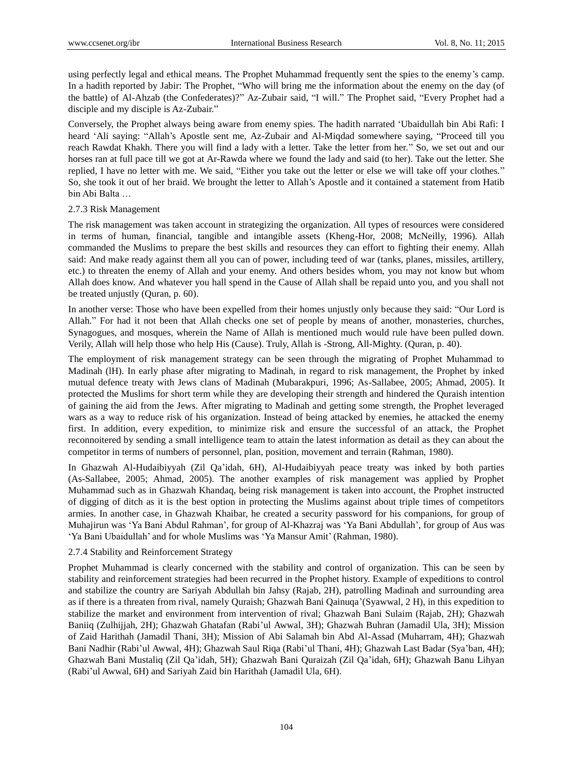using perfectly legal and ethical means. The Prophet Muhammad frequently sent the spies to the enemy"s camp. In a hadith reported by Jabir: The Prophet, "Who will bring me the information about the enemy on the day (of the battle) of Al-Ahzab (the Confederates)?" Az-Zubair said, "I will." The Prophet said, "Every Prophet had a disciple and my disciple is Az-Zubair."

Conversely, the Prophet always being aware from enemy spies. The hadith narrated "Ubaidullah bin Abi Rafi: I heard "Ali saying: "Allah"s Apostle sent me, Az-Zubair and Al-Miqdad somewhere saying, "Proceed till you reach Rawdat Khakh. There you will find a lady with a letter. Take the letter from her." So, we set out and our horses ran at full pace till we got at Ar-Rawda where we found the lady and said (to her). Take out the letter. She replied, I have no letter with me. We said, "Either you take out the letter or else we will take off your clothes." So, she took it out of her braid. We brought the letter to Allah"s Apostle and it contained a statement from Hatib bin Abi Balta …

## 2.7.3 Risk Management

The risk management was taken account in strategizing the organization. All types of resources were considered in terms of human, financial, tangible and intangible assets (Kheng-Hor, 2008; McNeilly, 1996). Allah commanded the Muslims to prepare the best skills and resources they can effort to fighting their enemy. Allah said: And make ready against them all you can of power, including teed of war (tanks, planes, missiles, artillery, etc.) to threaten the enemy of Allah and your enemy. And others besides whom, you may not know but whom Allah does know. And whatever you hall spend in the Cause of Allah shall be repaid unto you, and you shall not be treated unjustly (Quran, p. 60).

In another verse: Those who have been expelled from their homes unjustly only because they said: "Our Lord is Allah." For had it not been that Allah checks one set of people by means of another, monasteries, churches, Synagogues, and mosques, wherein the Name of Allah is mentioned much would rule have been pulled down. Verily, Allah will help those who help His (Cause). Truly, Allah is -Strong, All-Mighty. (Quran, p. 40).

The employment of risk management strategy can be seen through the migrating of Prophet Muhammad to Madinah (lH). In early phase after migrating to Madinah, in regard to risk management, the Prophet by inked mutual defence treaty with Jews clans of Madinah (Mubarakpuri, 1996; As-Sallabee, 2005; Ahmad, 2005). It protected the Muslims for short term while they are developing their strength and hindered the Quraish intention of gaining the aid from the Jews. After migrating to Madinah and getting some strength, the Prophet leveraged wars as a way to reduce risk of his organization. Instead of being attacked by enemies, he attacked the enemy first. In addition, every expedition, to minimize risk and ensure the successful of an attack, the Prophet reconnoitered by sending a small intelligence team to attain the latest information as detail as they can about the competitor in terms of numbers of personnel, plan, position, movement and terrain (Rahman, 1980).

In Ghazwah Al-Hudaibiyyah (Zil Qa"idah, 6H), Al-Hudaibiyyah peace treaty was inked by both parties (As-Sallabee, 2005; Ahmad, 2005). The another examples of risk management was applied by Prophet Muhammad such as in Ghazwah Khandaq, being risk management is taken into account, the Prophet instructed of digging of ditch as it is the best option in protecting the Muslims against about triple times of competitors armies. In another case, in Ghazwah Khaibar, he created a security password for his companions, for group of Muhajirun was "Ya Bani Abdul Rahman", for group of Al-Khazraj was "Ya Bani Abdullah", for group of Aus was 'Ya Bani Ubaidullah' and for whole Muslims was 'Ya Mansur Amit' (Rahman, 1980).

## 2.7.4 Stability and Reinforcement Strategy

Prophet Muhammad is clearly concerned with the stability and control of organization. This can be seen by stability and reinforcement strategies had been recurred in the Prophet history. Example of expeditions to control and stabilize the country are Sariyah Abdullah bin Jahsy (Rajab, 2H), patrolling Madinah and surrounding area as if there is a threaten from rival, namely Quraish; Ghazwah Bani Qainuqa"(Syawwal, 2 H), in this expedition to stabilize the market and environment from intervention of rival; Ghazwah Bani Sulaim (Rajab, 2H); Ghazwah Baniiq (Zulhijjah, 2H); Ghazwah Ghatafan (Rabi"ul Awwal, 3H); Ghazwah Buhran (Jamadil Ula, 3H); Mission of Zaid Harithah (Jamadil Thani, 3H); Mission of Abi Salamah bin Abd Al-Assad (Muharram, 4H); Ghazwah Bani Nadhir (Rabi"ul Awwal, 4H); Ghazwah Saul Riqa (Rabi"ul Thani, 4H); Ghazwah Last Badar (Sya"ban, 4H); Ghazwah Bani Mustaliq (Zil Qa"idah, 5H); Ghazwah Bani Quraizah (Zil Qa"idah, 6H); Ghazwah Banu Lihyan (Rabi"ul Awwal, 6H) and Sariyah Zaid bin Harithah (Jamadil Ula, 6H).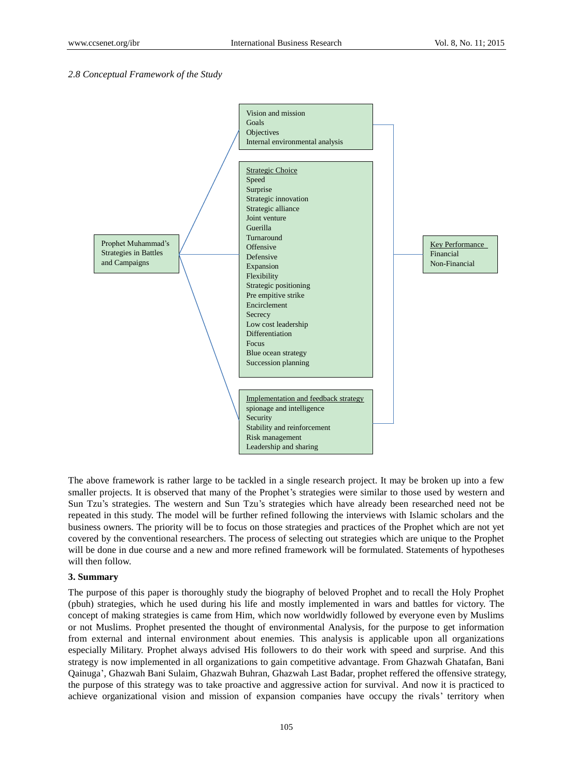#### *2.8 Conceptual Framework of the Study*



The above framework is rather large to be tackled in a single research project. It may be broken up into a few smaller projects. It is observed that many of the Prophet's strategies were similar to those used by western and Sun Tzu"s strategies. The western and Sun Tzu"s strategies which have already been researched need not be repeated in this study. The model will be further refined following the interviews with Islamic scholars and the business owners. The priority will be to focus on those strategies and practices of the Prophet which are not yet covered by the conventional researchers. The process of selecting out strategies which are unique to the Prophet will be done in due course and a new and more refined framework will be formulated. Statements of hypotheses will then follow.

#### **3. Summary**

The purpose of this paper is thoroughly study the biography of beloved Prophet and to recall the Holy Prophet (pbuh) strategies, which he used during his life and mostly implemented in wars and battles for victory. The concept of making strategies is came from Him, which now worldwidly followed by everyone even by Muslims or not Muslims. Prophet presented the thought of environmental Analysis, for the purpose to get information from external and internal environment about enemies. This analysis is applicable upon all organizations especially Military. Prophet always advised His followers to do their work with speed and surprise. And this strategy is now implemented in all organizations to gain competitive advantage. From Ghazwah Ghatafan, Bani Qainuga", Ghazwah Bani Sulaim, Ghazwah Buhran, Ghazwah Last Badar, prophet reffered the offensive strategy, the purpose of this strategy was to take proactive and aggressive action for survival. And now it is practiced to achieve organizational vision and mission of expansion companies have occupy the rivals" territory when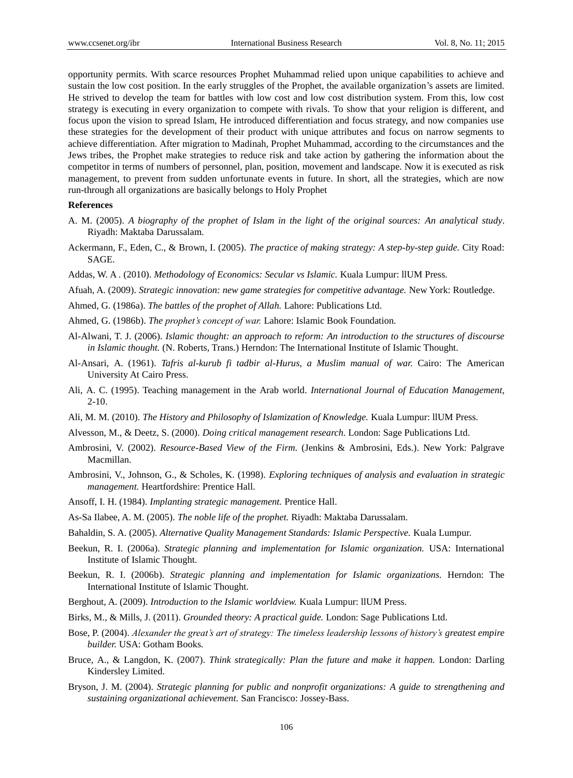opportunity permits. With scarce resources Prophet Muhammad relied upon unique capabilities to achieve and sustain the low cost position. In the early struggles of the Prophet, the available organization"s assets are limited. He strived to develop the team for battles with low cost and low cost distribution system. From this, low cost strategy is executing in every organization to compete with rivals. To show that your religion is different, and focus upon the vision to spread Islam, He introduced differentiation and focus strategy, and now companies use these strategies for the development of their product with unique attributes and focus on narrow segments to achieve differentiation. After migration to Madinah, Prophet Muhammad, according to the circumstances and the Jews tribes, the Prophet make strategies to reduce risk and take action by gathering the information about the competitor in terms of numbers of personnel, plan, position, movement and landscape. Now it is executed as risk management, to prevent from sudden unfortunate events in future. In short, all the strategies, which are now run-through all organizations are basically belongs to Holy Prophet

## **References**

- A. M. (2005). *A biography of the prophet of Islam in the light of the original sources: An analytical study*. Riyadh: Maktaba Darussalam.
- Ackermann, F., Eden, C., & Brown, I. (2005). *The practice of making strategy: A step-by-step guide.* City Road: SAGE.
- Addas, W. A . (2010). *Methodology of Economics: Secular vs Islamic.* Kuala Lumpur: llUM Press.
- Afuah, A. (2009). *Strategic innovation: new game strategies for competitive advantage.* New York: Routledge.
- Ahmed, G. (1986a). *The battles of the prophet of Allah.* Lahore: Publications Ltd.
- Ahmed, G. (1986b). *The prophet's concept of war.* Lahore: Islamic Book Foundation.
- Al-Alwani, T. J. (2006). *Islamic thought: an approach to reform: An introduction to the structures of discourse in Islamic thought.* (N. Roberts, Trans.) Herndon: The International Institute of Islamic Thought.
- Al-Ansari, A. (1961). *Tafris al-kurub fi tadbir al-Hurus, a Muslim manual of war.* Cairo: The American University At Cairo Press.
- Ali, A. C. (1995). Teaching management in the Arab world. *International Journal of Education Management,*  2-10.
- Ali, M. M. (2010). *The History and Philosophy of Islamization of Knowledge.* Kuala Lumpur: llUM Press.
- Alvesson, M., & Deetz, S. (2000). *Doing critical management research.* London: Sage Publications Ltd.
- Ambrosini, V. (2002). *Resource-Based View of the Firm.* (Jenkins & Ambrosini, Eds.). New York: Palgrave Macmillan.
- Ambrosini, V., Johnson, G., & Scholes, K. (1998). *Exploring techniques of analysis and evaluation in strategic management.* Heartfordshire: Prentice Hall.
- Ansoff, I. H. (1984). *Implanting strategic management.* Prentice Hall.
- As-Sa Ilabee, A. M. (2005). *The noble life of the prophet.* Riyadh: Maktaba Darussalam.
- Bahaldin, S. A. (2005). *Alternative Quality Management Standards: Islamic Perspective.* Kuala Lumpur.
- Beekun, R. I. (2006a). *Strategic planning and implementation for Islamic organization.* USA: International Institute of Islamic Thought.
- Beekun, R. I. (2006b). *Strategic planning and implementation for Islamic organizations.* Herndon: The International Institute of Islamic Thought.
- Berghout, A. (2009). *Introduction to the Islamic worldview.* Kuala Lumpur: llUM Press.
- Birks, M., & Mills, J. (2011). *Grounded theory: A practical guide.* London: Sage Publications Ltd.
- Bose, P. (2004). *Alexander the great's art of strategy: The timeless leadership lessons of history's greatest empire builder.* USA: Gotham Books.
- Bruce, A., & Langdon, K. (2007). *Think strategically: Plan the future and make it happen.* London: Darling Kindersley Limited.
- Bryson, J. M. (2004). *Strategic planning for public and nonprofit organizations: A guide to strengthening and sustaining organizational achievement.* San Francisco: Jossey-Bass.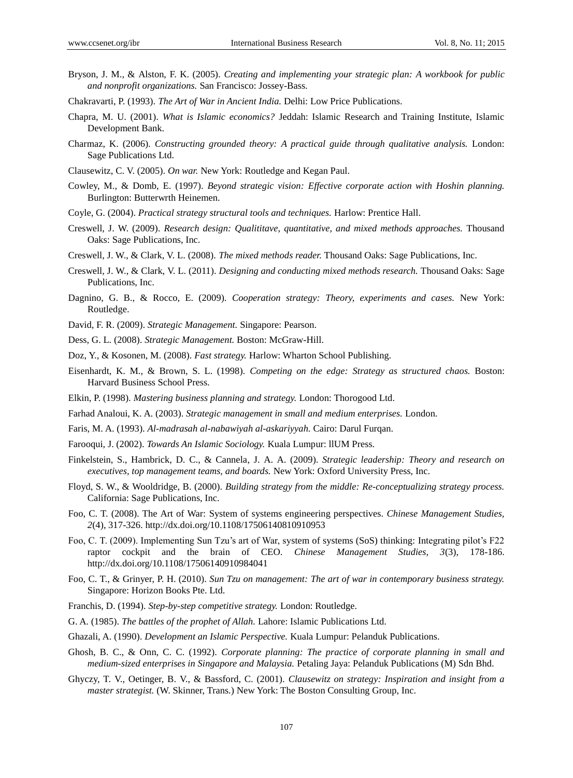- Bryson, J. M., & Alston, F. K. (2005). *Creating and implementing your strategic plan: A workbook for public and nonprofit organizations.* San Francisco: Jossey-Bass.
- Chakravarti, P. (1993). *The Art of War in Ancient India.* Delhi: Low Price Publications.
- Chapra, M. U. (2001). *What is Islamic economics?* Jeddah: Islamic Research and Training Institute, Islamic Development Bank.
- Charmaz, K. (2006). *Constructing grounded theory: A practical guide through qualitative analysis.* London: Sage Publications Ltd.
- Clausewitz, C. V. (2005). *On war.* New York: Routledge and Kegan Paul.
- Cowley, M., & Domb, E. (1997). *Beyond strategic vision: Effective corporate action with Hoshin planning.* Burlington: Butterwrth Heinemen.
- Coyle, G. (2004). *Practical strategy structural tools and techniques.* Harlow: Prentice Hall.
- Creswell, J. W. (2009). *Research design: Qualititave, quantitative, and mixed methods approaches.* Thousand Oaks: Sage Publications, Inc.
- Creswell, J. W., & Clark, V. L. (2008). *The mixed methods reader.* Thousand Oaks: Sage Publications, Inc.
- Creswell, J. W., & Clark, V. L. (2011). *Designing and conducting mixed methods research.* Thousand Oaks: Sage Publications, Inc.
- Dagnino, G. B., & Rocco, E. (2009). *Cooperation strategy: Theory, experiments and cases.* New York: Routledge.
- David, F. R. (2009). *Strategic Management.* Singapore: Pearson.
- Dess, G. L. (2008). *Strategic Management.* Boston: McGraw-Hill.
- Doz, Y., & Kosonen, M. (2008). *Fast strategy.* Harlow: Wharton School Publishing.
- Eisenhardt, K. M., & Brown, S. L. (1998). *Competing on the edge: Strategy as structured chaos.* Boston: Harvard Business School Press.
- Elkin, P. (1998). *Mastering business planning and strategy.* London: Thorogood Ltd.
- Farhad Analoui, K. A. (2003). *Strategic management in small and medium enterprises.* London.
- Faris, M. A. (1993). *Al-madrasah al-nabawiyah al-askariyyah.* Cairo: Darul Furqan.
- Farooqui, J. (2002). *Towards An Islamic Sociology.* Kuala Lumpur: llUM Press.
- Finkelstein, S., Hambrick, D. C., & Cannela, J. A. A. (2009). *Strategic leadership: Theory and research on executives, top management teams, and boards.* New York: Oxford University Press, Inc.
- Floyd, S. W., & Wooldridge, B. (2000). *Building strategy from the middle: Re-conceptualizing strategy process.*  California: Sage Publications, Inc.
- Foo, C. T. (2008). The Art of War: System of systems engineering perspectives. *Chinese Management Studies, 2*(4), 317-326.<http://dx.doi.org/10.1108/17506140810910953>
- Foo, C. T. (2009). Implementing Sun Tzu's art of War, system of systems (SoS) thinking: Integrating pilot's F22 raptor cockpit and the brain of CEO. *Chinese Management Studies, 3*(3), 178-186. <http://dx.doi.org/10.1108/17506140910984041>
- Foo, C. T., & Grinyer, P. H. (2010). *Sun Tzu on management: The art of war in contemporary business strategy.*  Singapore: Horizon Books Pte. Ltd.
- Franchis, D. (1994). *Step-by-step competitive strategy.* London: Routledge.
- G. A. (1985). *The battles of the prophet of Allah.* Lahore: Islamic Publications Ltd.
- Ghazali, A. (1990). *Development an Islamic Perspective.* Kuala Lumpur: Pelanduk Publications.
- Ghosh, B. C., & Onn, C. C. (1992). *Corporate planning: The practice of corporate planning in small and medium-sized enterprises in Singapore and Malaysia.* Petaling Jaya: Pelanduk Publications (M) Sdn Bhd.
- Ghyczy, T. V., Oetinger, B. V., & Bassford, C. (2001). *Clausewitz on strategy: Inspiration and insight from a master strategist.* (W. Skinner, Trans.) New York: The Boston Consulting Group, Inc.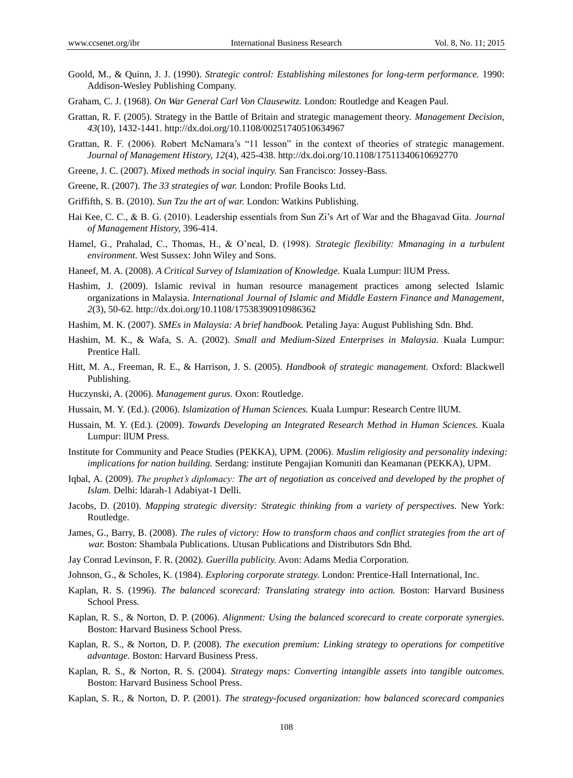- Goold, M., & Quinn, J. J. (1990). *Strategic control: Establishing milestones for long-term performance.* 1990: Addison-Wesley Publishing Company.
- Graham, C. J. (1968). *On War General Carl Von Clausewitz.* London: Routledge and Keagen Paul.
- Grattan, R. F. (2005). Strategy in the Battle of Britain and strategic management theory. *Management Decision, 43*(10), 1432-1441.<http://dx.doi.org/10.1108/00251740510634967>
- Grattan, R. F. (2006). Robert McNamara's "11 lesson" in the context of theories of strategic management. *Journal of Management History, 12*(4), 425-438.<http://dx.doi.org/10.1108/17511340610692770>
- Greene, J. C. (2007). *Mixed methods in social inquiry.* San Francisco: Jossey-Bass.
- Greene, R. (2007). *The 33 strategies of war.* London: Profile Books Ltd.
- Griffifth, S. B. (2010). *Sun Tzu the art of war.* London: Watkins Publishing.
- Hai Kee, C. C., & B. G. (2010). Leadership essentials from Sun Zi"s Art of War and the Bhagavad Gita. *Journal of Management History,* 396-414.
- Hamel, G., Prahalad, C., Thomas, H., & O"neal, D. (1998). *Strategic flexibility: Mmanaging in a turbulent environment.* West Sussex: John Wiley and Sons.
- Haneef, M. A. (2008). *A Critical Survey of Islamization of Knowledge.* Kuala Lumpur: llUM Press.
- Hashim, J. (2009). Islamic revival in human resource management practices among selected Islamic organizations in Malaysia. *International Journal of Islamic and Middle Eastern Finance and Management, 2*(3), 50-62. <http://dx.doi.org/10.1108/17538390910986362>
- Hashim, M. K. (2007). *SMEs in Malaysia: A brief handbook.* Petaling Jaya: August Publishing Sdn. Bhd.
- Hashim, M. K., & Wafa, S. A. (2002). *Small and Medium-Sized Enterprises in Malaysia.* Kuala Lumpur: Prentice Hall.
- Hitt, M. A., Freeman, R. E., & Harrison, J. S. (2005). *Handbook of strategic management.* Oxford: Blackwell Publishing.
- Huczynski, A. (2006). *Management gurus.* Oxon: Routledge.
- Hussain, M. Y. (Ed.). (2006). *Islamization of Human Sciences.* Kuala Lumpur: Research Centre llUM.
- Hussain, M. Y. (Ed.). (2009). *Towards Developing an Integrated Research Method in Human Sciences.* Kuala Lumpur: llUM Press.
- Institute for Community and Peace Studies (PEKKA), UPM. (2006). *Muslim religiosity and personality indexing: implications for nation building.* Serdang: institute Pengajian Komuniti dan Keamanan (PEKKA), UPM.
- Iqbal, A. (2009). *The prophet's diplomacy: The art of negotiation as conceived and developed by the prophet of Islam.* Delhi: ldarah-1 Adabiyat-1 Delli.
- Jacobs, D. (2010). *Mapping strategic diversity: Strategic thinking from a variety of perspectives.* New York: Routledge.
- [James,](http://www.amazon.cn/s/ref=dp_byline_sr_book_1?ie=UTF8&field-author=James+Gimian&search-alias=books) G., [Barry,](http://www.amazon.cn/s/ref=dp_byline_sr_book_2?ie=UTF8&field-author=Barry+Boyce&search-alias=books) B. (2008). *The rules of victory: How to transform chaos and conflict strategies from the art of war.* Boston: Shambala Publications. Utusan Publications and Distributors Sdn Bhd.
- Jay Conrad Levinson, F. R. (2002). *Guerilla publicity.* Avon: Adams Media Corporation.
- Johnson, G., & Scholes, K. (1984). *Exploring corporate strategy.* London: Prentice-Hall International, Inc.
- Kaplan, R. S. (1996). *The balanced scorecard: Translating strategy into action.* Boston: Harvard Business School Press.
- Kaplan, R. S., & Norton, D. P. (2006). *Alignment: Using the balanced scorecard to create corporate synergies.*  Boston: Harvard Business School Press.
- Kaplan, R. S., & Norton, D. P. (2008). *The execution premium: Linking strategy to operations for competitive advantage.* Boston: Harvard Business Press.
- Kaplan, R. S., & Norton, R. S. (2004). *Strategy maps: Converting intangible assets into tangible outcomes.*  Boston: Harvard Business School Press.
- Kaplan, S. R., & Norton, D. P. (2001). *The strategy-focused organization: how balanced scorecard companies*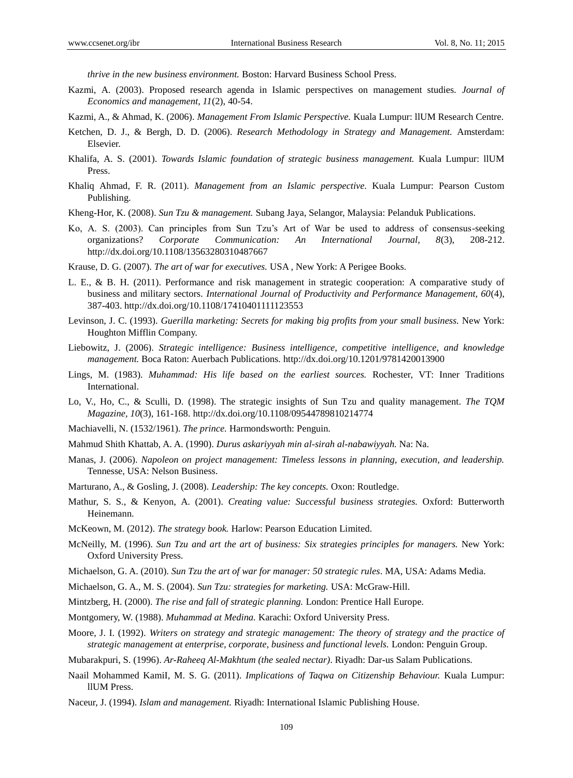*thrive in the new business environment.* Boston: Harvard Business School Press.

- Kazmi, A. (2003). Proposed research agenda in Islamic perspectives on management studies. *Journal of Economics and management, 11*(2), 40-54.
- Kazmi, A., & Ahmad, K. (2006). *Management From Islamic Perspective.* Kuala Lumpur: llUM Research Centre.
- Ketchen, D. J., & Bergh, D. D. (2006). *Research Methodology in Strategy and Management.* Amsterdam: Elsevier.
- Khalifa, A. S. (2001). *Towards Islamic foundation of strategic business management.* Kuala Lumpur: llUM Press.
- Khaliq Ahmad, F. R. (2011). *Management from an Islamic perspective.* Kuala Lumpur: Pearson Custom Publishing.
- Kheng-Hor, K. (2008). *Sun Tzu & management.* Subang Jaya, Selangor, Malaysia: Pelanduk Publications.
- Ko, A. S. (2003). Can principles from Sun Tzu"s Art of War be used to address of consensus-seeking organizations? *Corporate Communication: An International Journal, 8*(3), 208-212. <http://dx.doi.org/10.1108/13563280310487667>
- Krause, D. G. (2007). *The art of war for executives.* USA , New York: A Perigee Books.
- L. E., & B. H. (2011). Performance and risk management in strategic cooperation: A comparative study of business and military sectors. *International Journal of Productivity and Performance Management, 60*(4), 387-403.<http://dx.doi.org/10.1108/17410401111123553>
- Levinson, J. C. (1993). *Guerilla marketing: Secrets for making big profits from your small business.* New York: Houghton Mifflin Company.
- Liebowitz, J. (2006). *Strategic intelligence: Business intelligence, competitive intelligence, and knowledge management.* Boca Raton: Auerbach Publications.<http://dx.doi.org/10.1201/9781420013900>
- Lings, M. (1983). *Muhammad: His life based on the earliest sources.* Rochester, VT: Inner Traditions International.
- Lo, V., Ho, C., & Sculli, D. (1998). The strategic insights of Sun Tzu and quality management. *The TQM Magazine, 10*(3), 161-168. <http://dx.doi.org/10.1108/09544789810214774>
- Machiavelli, N. (1532/1961). *The prince.* Harmondsworth: Penguin.
- Mahmud Shith Khattab, A. A. (1990). *Durus askariyyah min al-sirah al-nabawiyyah.* Na: Na.
- Manas, J. (2006). *Napoleon on project management: Timeless lessons in planning, execution, and leadership.* Tennesse, USA: Nelson Business.
- Marturano, A., & Gosling, J. (2008). *Leadership: The key concepts.* Oxon: Routledge.
- Mathur, S. S., & Kenyon, A. (2001). *Creating value: Successful business strategies.* Oxford: Butterworth Heinemann.
- McKeown, M. (2012). *The strategy book.* Harlow: Pearson Education Limited.
- McNeilly, M. (1996). *Sun Tzu and art the art of business: Six strategies principles for managers.* New York: Oxford University Press.
- Michaelson, G. A. (2010). *Sun Tzu the art of war for manager: 50 strategic rules*. MA, USA: Adams Media.
- Michaelson, G. A., M. S. (2004). *Sun Tzu: strategies for marketing.* USA: McGraw-Hill.
- Mintzberg, H. (2000). *The rise and fall of strategic planning.* London: Prentice Hall Europe.
- Montgomery, W. (1988). *Muhammad at Medina.* Karachi: Oxford University Press.
- Moore, J. I. (1992). *Writers on strategy and strategic management: The theory of strategy and the practice of strategic management at enterprise, corporate, business and functional levels.* London: Penguin Group.

Mubarakpuri, S. (1996). *Ar-Raheeq Al-Makhtum (the sealed nectar)*. Riyadh: Dar-us Salam Publications.

- Naail Mohammed KamiI, M. S. G. (2011). *Implications of Taqwa on Citizenship Behaviour.* Kuala Lumpur: llUM Press.
- Naceur, J. (1994). *Islam and management.* Riyadh: International Islamic Publishing House.